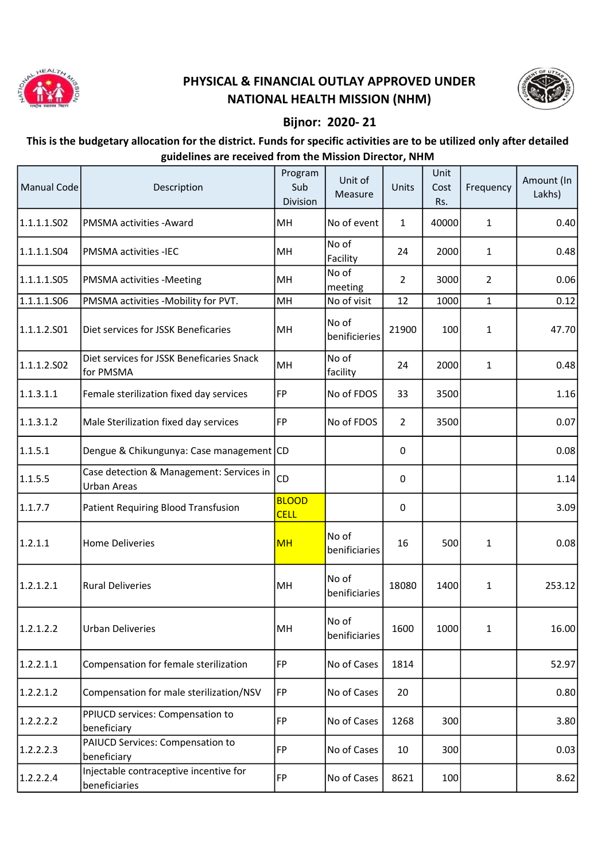

## PHYSICAL & FINANCIAL OUTLAY APPROVED UNDER NATIONAL HEALTH MISSION (NHM)



## Bijnor: 2020- 21

## This is the budgetary allocation for the district. Funds for specific activities are to be utilized only after detailed guidelines are received from the Mission Director, NHM

| Manual Code | Description                                                    | Program<br>Sub<br>Division  | Unit of<br>Measure     | Units          | Unit<br>Cost<br>Rs. | Frequency      | Amount (In<br>Lakhs) |
|-------------|----------------------------------------------------------------|-----------------------------|------------------------|----------------|---------------------|----------------|----------------------|
| 1.1.1.1.502 | PMSMA activities - Award                                       | MH                          | No of event            | $\mathbf{1}$   | 40000               | $\mathbf{1}$   | 0.40                 |
| 1.1.1.1.504 | <b>PMSMA activities -IEC</b>                                   | MH                          | No of<br>Facility      | 24             | 2000                | 1              | 0.48                 |
| 1.1.1.1.S05 | <b>PMSMA activities -Meeting</b>                               | MH                          | No of<br>meeting       | $\overline{2}$ | 3000                | $\overline{2}$ | 0.06                 |
| 1.1.1.1.506 | PMSMA activities -Mobility for PVT.                            | MH                          | No of visit            | 12             | 1000                | $\mathbf{1}$   | 0.12                 |
| 1.1.1.2.501 | Diet services for JSSK Beneficaries                            | MH                          | No of<br>benificieries | 21900          | 100                 | $\mathbf{1}$   | 47.70                |
| 1.1.1.2.502 | Diet services for JSSK Beneficaries Snack<br>for PMSMA         | MH                          | No of<br>facility      | 24             | 2000                | $\mathbf{1}$   | 0.48                 |
| 1.1.3.1.1   | Female sterilization fixed day services                        | FP                          | No of FDOS             | 33             | 3500                |                | 1.16                 |
| 1.1.3.1.2   | Male Sterilization fixed day services                          | FP                          | No of FDOS             | $\overline{2}$ | 3500                |                | 0.07                 |
| 1.1.5.1     | Dengue & Chikungunya: Case management CD                       |                             |                        | 0              |                     |                | 0.08                 |
| 1.1.5.5     | Case detection & Management: Services in<br><b>Urban Areas</b> | CD                          |                        | 0              |                     |                | 1.14                 |
| 1.1.7.7     | Patient Requiring Blood Transfusion                            | <b>BLOOD</b><br><b>CELL</b> |                        | 0              |                     |                | 3.09                 |
| 1.2.1.1     | <b>Home Deliveries</b>                                         | <b>MH</b>                   | No of<br>benificiaries | 16             | 500                 | 1              | 0.08                 |
| 1.2.1.2.1   | <b>Rural Deliveries</b>                                        | MH                          | No of<br>benificiaries | 18080          | 1400                | 1              | 253.12               |
| 1.2.1.2.2   | <b>Urban Deliveries</b>                                        | MH                          | No of<br>benificiaries | 1600           | 1000                | 1              | 16.00                |
| 1.2.2.1.1   | Compensation for female sterilization                          | FP                          | No of Cases            | 1814           |                     |                | 52.97                |
| 1.2.2.1.2   | Compensation for male sterilization/NSV                        | FP                          | No of Cases            | 20             |                     |                | 0.80                 |
| 1.2.2.2.2   | PPIUCD services: Compensation to<br>beneficiary                | FP                          | No of Cases            | 1268           | 300                 |                | 3.80                 |
| 1.2.2.2.3   | PAIUCD Services: Compensation to<br>beneficiary                | FP                          | No of Cases            | 10             | 300                 |                | 0.03                 |
| 1.2.2.2.4   | Injectable contraceptive incentive for<br>beneficiaries        | <b>FP</b>                   | No of Cases            | 8621           | 100                 |                | 8.62                 |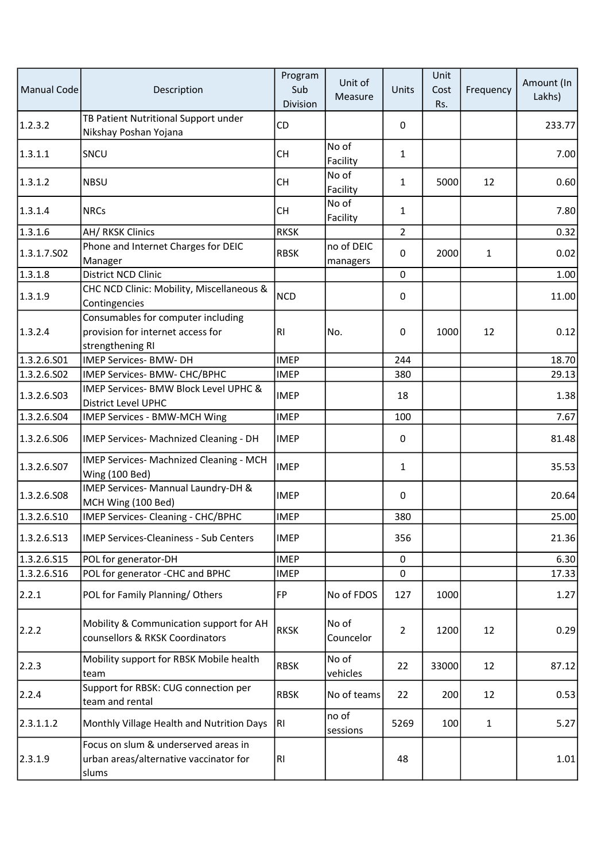| <b>Manual Code</b> | Description                                                                                 | Program<br>Sub<br>Division | Unit of<br>Measure     | Units          | Unit<br>Cost<br>Rs. | Frequency    | Amount (In<br>Lakhs) |
|--------------------|---------------------------------------------------------------------------------------------|----------------------------|------------------------|----------------|---------------------|--------------|----------------------|
| 1.2.3.2            | TB Patient Nutritional Support under<br>Nikshay Poshan Yojana                               | <b>CD</b>                  |                        | 0              |                     |              | 233.77               |
| 1.3.1.1            | SNCU                                                                                        | <b>CH</b>                  | No of<br>Facility      | $\mathbf{1}$   |                     |              | 7.00                 |
| 1.3.1.2            | <b>NBSU</b>                                                                                 | СH                         | No of<br>Facility      | $\mathbf{1}$   | 5000                | 12           | 0.60                 |
| 1.3.1.4            | <b>NRCs</b>                                                                                 | <b>CH</b>                  | No of<br>Facility      | $\mathbf{1}$   |                     |              | 7.80                 |
| 1.3.1.6            | AH/RKSK Clinics                                                                             | <b>RKSK</b>                |                        | $\overline{2}$ |                     |              | 0.32                 |
| 1.3.1.7.502        | Phone and Internet Charges for DEIC<br>Manager                                              | <b>RBSK</b>                | no of DEIC<br>managers | $\pmb{0}$      | 2000                | 1            | 0.02                 |
| 1.3.1.8            | <b>District NCD Clinic</b>                                                                  |                            |                        | $\mathbf 0$    |                     |              | 1.00                 |
| 1.3.1.9            | CHC NCD Clinic: Mobility, Miscellaneous &<br>Contingencies                                  | <b>NCD</b>                 |                        | $\pmb{0}$      |                     |              | 11.00                |
| 1.3.2.4            | Consumables for computer including<br>provision for internet access for<br>strengthening RI | RI                         | No.                    | 0              | 1000                | 12           | 0.12                 |
| 1.3.2.6.501        | <b>IMEP Services- BMW- DH</b>                                                               | <b>IMEP</b>                |                        | 244            |                     |              | 18.70                |
| 1.3.2.6.502        | IMEP Services- BMW- CHC/BPHC                                                                | <b>IMEP</b>                |                        | 380            |                     |              | 29.13                |
| 1.3.2.6.S03        | IMEP Services- BMW Block Level UPHC &<br>District Level UPHC                                | <b>IMEP</b>                |                        | 18             |                     |              | 1.38                 |
| 1.3.2.6.504        | IMEP Services - BMW-MCH Wing                                                                | <b>IMEP</b>                |                        | 100            |                     |              | 7.67                 |
| 1.3.2.6.506        | IMEP Services- Machnized Cleaning - DH                                                      | <b>IMEP</b>                |                        | 0              |                     |              | 81.48                |
| 1.3.2.6.S07        | IMEP Services- Machnized Cleaning - MCH<br>Wing (100 Bed)                                   | <b>IMEP</b>                |                        | $\mathbf{1}$   |                     |              | 35.53                |
| 1.3.2.6.508        | IMEP Services- Mannual Laundry-DH &<br>MCH Wing (100 Bed)                                   | <b>IMEP</b>                |                        | 0              |                     |              | 20.64                |
| 1.3.2.6.510        | <b>IMEP Services- Cleaning - CHC/BPHC</b>                                                   | <b>IMEP</b>                |                        | 380            |                     |              | 25.00                |
| 1.3.2.6.513        | <b>IMEP Services-Cleaniness - Sub Centers</b>                                               | <b>IMEP</b>                |                        | 356            |                     |              | 21.36                |
| 1.3.2.6.515        | POL for generator-DH                                                                        | <b>IMEP</b>                |                        | $\pmb{0}$      |                     |              | 6.30                 |
| 1.3.2.6.516        | POL for generator -CHC and BPHC                                                             | <b>IMEP</b>                |                        | $\mathbf 0$    |                     |              | 17.33                |
| 2.2.1              | POL for Family Planning/Others                                                              | <b>FP</b>                  | No of FDOS             | 127            | 1000                |              | 1.27                 |
| 2.2.2              | Mobility & Communication support for AH<br>counsellors & RKSK Coordinators                  | <b>RKSK</b>                | No of<br>Councelor     | $\overline{2}$ | 1200                | 12           | 0.29                 |
| 2.2.3              | Mobility support for RBSK Mobile health<br>team                                             | <b>RBSK</b>                | No of<br>vehicles      | 22             | 33000               | 12           | 87.12                |
| 2.2.4              | Support for RBSK: CUG connection per<br>team and rental                                     | <b>RBSK</b>                | No of teams            | 22             | 200                 | 12           | 0.53                 |
| 2.3.1.1.2          | Monthly Village Health and Nutrition Days                                                   | RI                         | no of<br>sessions      | 5269           | 100                 | $\mathbf{1}$ | 5.27                 |
| 2.3.1.9            | Focus on slum & underserved areas in<br>urban areas/alternative vaccinator for<br>slums     | RI                         |                        | 48             |                     |              | 1.01                 |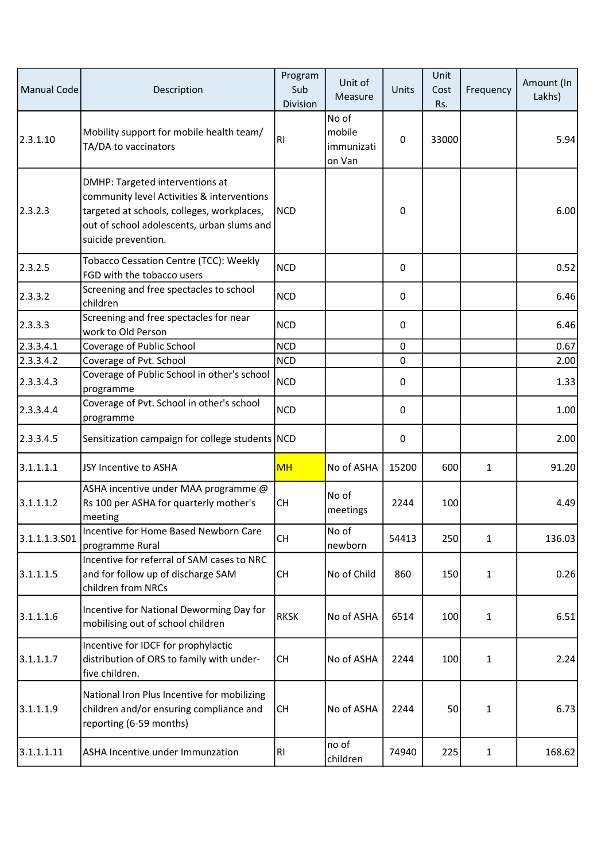| <b>Manual Code</b> | Description                                                                                                                                                                                      | Program<br>Sub<br>Division | Unit of<br>Measure                      | Units       | Unit<br>Cost<br>Rs. | Frequency    | Amount (In<br>Lakhs) |
|--------------------|--------------------------------------------------------------------------------------------------------------------------------------------------------------------------------------------------|----------------------------|-----------------------------------------|-------------|---------------------|--------------|----------------------|
| 2.3.1.10           | Mobility support for mobile health team/<br>TA/DA to vaccinators                                                                                                                                 | RI                         | No of<br>mobile<br>immunizati<br>on Van | 0           | 33000               |              | 5.94                 |
| 2.3.2.3            | DMHP: Targeted interventions at<br>community level Activities & interventions<br>targeted at schools, colleges, workplaces,<br>out of school adolescents, urban slums and<br>suicide prevention. | <b>NCD</b>                 |                                         | $\mathsf 0$ |                     |              | 6.00                 |
| 2.3.2.5            | Tobacco Cessation Centre (TCC): Weekly<br>FGD with the tobacco users                                                                                                                             | <b>NCD</b>                 |                                         | 0           |                     |              | 0.52                 |
| 2.3.3.2            | Screening and free spectacles to school<br>children                                                                                                                                              | <b>NCD</b>                 |                                         | 0           |                     |              | 6.46                 |
| 2.3.3.3            | Screening and free spectacles for near<br>work to Old Person                                                                                                                                     | <b>NCD</b>                 |                                         | 0           |                     |              | 6.46                 |
| 2.3.3.4.1          | Coverage of Public School                                                                                                                                                                        | <b>NCD</b>                 |                                         | 0           |                     |              | 0.67                 |
| 2.3.3.4.2          | Coverage of Pvt. School                                                                                                                                                                          | <b>NCD</b>                 |                                         | 0           |                     |              | 2.00                 |
| 2.3.3.4.3          | Coverage of Public School in other's school<br>programme                                                                                                                                         | <b>NCD</b>                 |                                         | 0           |                     |              | 1.33                 |
| 2.3.3.4.4          | Coverage of Pvt. School in other's school<br>programme                                                                                                                                           | <b>NCD</b>                 |                                         | 0           |                     |              | 1.00                 |
| 2.3.3.4.5          | Sensitization campaign for college students NCD                                                                                                                                                  |                            |                                         | 0           |                     |              | 2.00                 |
| 3.1.1.1.1          | JSY Incentive to ASHA                                                                                                                                                                            | <b>MH</b>                  | No of ASHA                              | 15200       | 600                 | $\mathbf{1}$ | 91.20                |
| 3.1.1.1.2          | ASHA incentive under MAA programme @<br>Rs 100 per ASHA for quarterly mother's<br>meeting                                                                                                        | <b>CH</b>                  | No of<br>meetings                       | 2244        | 100                 |              | 4.49                 |
| 3.1.1.1.3.501      | Incentive for Home Based Newborn Care<br>programme Rural                                                                                                                                         | <b>CH</b>                  | No of<br>newborn                        | 54413       | 250                 | $\mathbf{1}$ | 136.03               |
| 3.1.1.1.5          | Incentive for referral of SAM cases to NRC<br>and for follow up of discharge SAM<br>children from NRCs                                                                                           | <b>CH</b>                  | No of Child                             | 860         | 150                 | $\mathbf{1}$ | 0.26                 |
| 3.1.1.1.6          | Incentive for National Deworming Day for<br>mobilising out of school children                                                                                                                    | <b>RKSK</b>                | No of ASHA                              | 6514        | 100                 | 1            | 6.51                 |
| 3.1.1.1.7          | Incentive for IDCF for prophylactic<br>distribution of ORS to family with under-<br>five children.                                                                                               | <b>CH</b>                  | No of ASHA                              | 2244        | 100                 | $\mathbf{1}$ | 2.24                 |
| 3.1.1.1.9          | National Iron Plus Incentive for mobilizing<br>children and/or ensuring compliance and<br>reporting (6-59 months)                                                                                | <b>CH</b>                  | No of ASHA                              | 2244        | 50                  | 1            | 6.73                 |
| 3.1.1.1.11         | ASHA Incentive under Immunzation                                                                                                                                                                 | RI.                        | no of<br>children                       | 74940       | 225                 | $\mathbf{1}$ | 168.62               |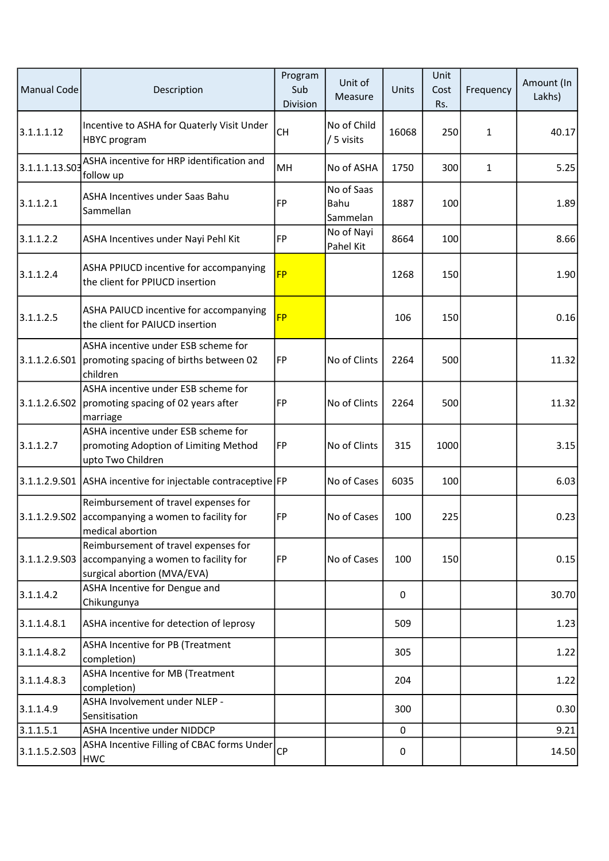| <b>Manual Code</b> | Description                                                                                                    | Program<br>Sub<br>Division | Unit of<br>Measure             | Units       | Unit<br>Cost<br>Rs. | Frequency    | Amount (In<br>Lakhs) |
|--------------------|----------------------------------------------------------------------------------------------------------------|----------------------------|--------------------------------|-------------|---------------------|--------------|----------------------|
| 3.1.1.1.12         | Incentive to ASHA for Quaterly Visit Under<br><b>HBYC</b> program                                              | <b>CH</b>                  | No of Child<br>/ 5 visits      | 16068       | 250                 | $\mathbf{1}$ | 40.17                |
| 3.1.1.1.13.503     | ASHA incentive for HRP identification and<br>follow up                                                         | <b>MH</b>                  | No of ASHA                     | 1750        | 300                 | $\mathbf{1}$ | 5.25                 |
| 3.1.1.2.1          | ASHA Incentives under Saas Bahu<br>Sammellan                                                                   | FP                         | No of Saas<br>Bahu<br>Sammelan | 1887        | 100                 |              | 1.89                 |
| 3.1.1.2.2          | ASHA Incentives under Nayi Pehl Kit                                                                            | <b>FP</b>                  | No of Nayi<br>Pahel Kit        | 8664        | 100                 |              | 8.66                 |
| 3.1.1.2.4          | ASHA PPIUCD incentive for accompanying<br>the client for PPIUCD insertion                                      | <b>FP</b>                  |                                | 1268        | 150                 |              | 1.90                 |
| 3.1.1.2.5          | ASHA PAIUCD incentive for accompanying<br>the client for PAIUCD insertion                                      | <b>FP</b>                  |                                | 106         | 150                 |              | 0.16                 |
| 3.1.1.2.6.S01      | ASHA incentive under ESB scheme for<br>promoting spacing of births between 02<br>children                      | <b>FP</b>                  | No of Clints                   | 2264        | 500                 |              | 11.32                |
|                    | ASHA incentive under ESB scheme for<br>3.1.1.2.6.S02   promoting spacing of 02 years after<br>marriage         | FP                         | No of Clints                   | 2264        | 500                 |              | 11.32                |
| 3.1.1.2.7          | ASHA incentive under ESB scheme for<br>promoting Adoption of Limiting Method<br>upto Two Children              | FP                         | No of Clints                   | 315         | 1000                |              | 3.15                 |
|                    | 3.1.1.2.9.S01 ASHA incentive for injectable contraceptive FP                                                   |                            | No of Cases                    | 6035        | 100                 |              | 6.03                 |
|                    | Reimbursement of travel expenses for<br>3.1.1.2.9.S02 accompanying a women to facility for<br>medical abortion | FP                         | No of Cases                    | 100         | 225                 |              | 0.23                 |
| 3.1.1.2.9.503      | Reimbursement of travel expenses for<br>accompanying a women to facility for<br>surgical abortion (MVA/EVA)    | <b>FP</b>                  | No of Cases                    | 100         | 150                 |              | 0.15                 |
| 3.1.1.4.2          | ASHA Incentive for Dengue and<br>Chikungunya                                                                   |                            |                                | 0           |                     |              | 30.70                |
| 3.1.1.4.8.1        | ASHA incentive for detection of leprosy                                                                        |                            |                                | 509         |                     |              | 1.23                 |
| 3.1.1.4.8.2        | <b>ASHA Incentive for PB (Treatment</b><br>completion)                                                         |                            |                                | 305         |                     |              | 1.22                 |
| 3.1.1.4.8.3        | ASHA Incentive for MB (Treatment<br>completion)                                                                |                            |                                | 204         |                     |              | 1.22                 |
| 3.1.1.4.9          | ASHA Involvement under NLEP -<br>Sensitisation                                                                 |                            |                                | 300         |                     |              | 0.30                 |
| 3.1.1.5.1          | ASHA Incentive under NIDDCP                                                                                    |                            |                                | 0           |                     |              | 9.21                 |
| 3.1.1.5.2.503      | ASHA Incentive Filling of CBAC forms Under<br><b>HWC</b>                                                       | <b>CP</b>                  |                                | $\mathsf 0$ |                     |              | 14.50                |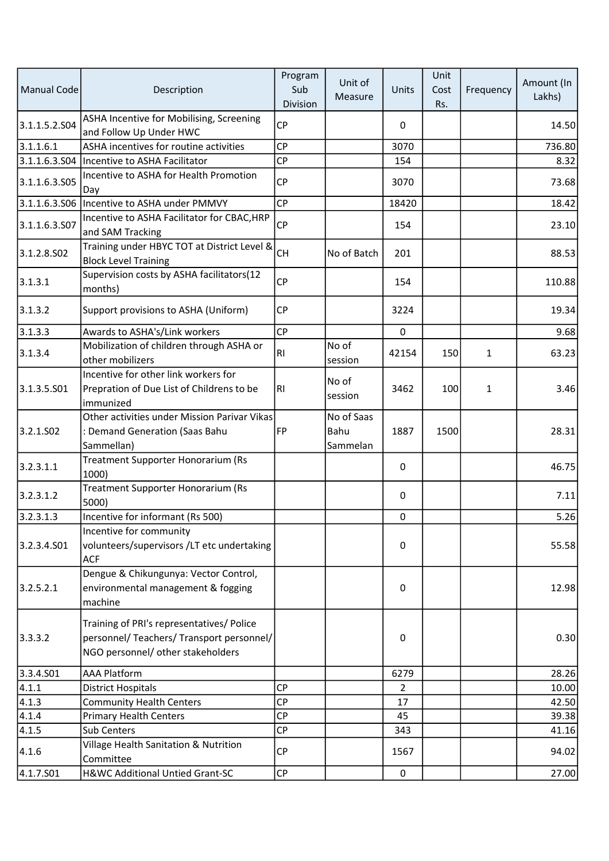| Manual Code   | Description                                                                                                                 | Program<br>Sub<br>Division | Unit of<br>Measure             | Units     | Unit<br>Cost<br>Rs. | Frequency    | Amount (In<br>Lakhs) |
|---------------|-----------------------------------------------------------------------------------------------------------------------------|----------------------------|--------------------------------|-----------|---------------------|--------------|----------------------|
| 3.1.1.5.2.504 | ASHA Incentive for Mobilising, Screening<br>and Follow Up Under HWC                                                         | <b>CP</b>                  |                                | 0         |                     |              | 14.50                |
| 3.1.1.6.1     | ASHA incentives for routine activities                                                                                      | <b>CP</b>                  |                                | 3070      |                     |              | 736.80               |
| 3.1.1.6.3.504 | Incentive to ASHA Facilitator                                                                                               | <b>CP</b>                  |                                | 154       |                     |              | 8.32                 |
| 3.1.1.6.3.505 | Incentive to ASHA for Health Promotion<br>Day                                                                               | <b>CP</b>                  |                                | 3070      |                     |              | 73.68                |
| 3.1.1.6.3.506 | Incentive to ASHA under PMMVY                                                                                               | <b>CP</b>                  |                                | 18420     |                     |              | 18.42                |
| 3.1.1.6.3.507 | Incentive to ASHA Facilitator for CBAC, HRP<br>and SAM Tracking                                                             | CP                         |                                | 154       |                     |              | 23.10                |
| 3.1.2.8.502   | Training under HBYC TOT at District Level &<br><b>Block Level Training</b>                                                  | <b>CH</b>                  | No of Batch                    | 201       |                     |              | 88.53                |
| 3.1.3.1       | Supervision costs by ASHA facilitators(12<br>months)                                                                        | <b>CP</b>                  |                                | 154       |                     |              | 110.88               |
| 3.1.3.2       | Support provisions to ASHA (Uniform)                                                                                        | <b>CP</b>                  |                                | 3224      |                     |              | 19.34                |
| 3.1.3.3       | Awards to ASHA's/Link workers                                                                                               | <b>CP</b>                  |                                | $\pmb{0}$ |                     |              | 9.68                 |
| 3.1.3.4       | Mobilization of children through ASHA or<br>other mobilizers                                                                | <b>RI</b>                  | No of<br>session               | 42154     | 150                 | $\mathbf{1}$ | 63.23                |
| 3.1.3.5.501   | Incentive for other link workers for<br>Prepration of Due List of Childrens to be<br>immunized                              | RI                         | No of<br>session               | 3462      | 100                 | $\mathbf{1}$ | 3.46                 |
| 3.2.1.SO2     | Other activities under Mission Parivar Vikas<br>: Demand Generation (Saas Bahu                                              | <b>FP</b>                  | No of Saas<br>Bahu<br>Sammelan | 1887      | 1500                |              | 28.31                |
| 3.2.3.1.1     | Sammellan)<br>Treatment Supporter Honorarium (Rs<br>1000)                                                                   |                            |                                | 0         |                     |              | 46.75                |
| 3.2.3.1.2     | Treatment Supporter Honorarium (Rs<br>5000)                                                                                 |                            |                                | 0         |                     |              | 7.11                 |
| 3.2.3.1.3     | Incentive for informant (Rs 500)                                                                                            |                            |                                | 0         |                     |              | 5.26                 |
| 3.2.3.4.501   | Incentive for community<br>volunteers/supervisors /LT etc undertaking<br><b>ACF</b>                                         |                            |                                | 0         |                     |              | 55.58                |
| 3.2.5.2.1     | Dengue & Chikungunya: Vector Control,<br>environmental management & fogging<br>machine                                      |                            |                                | 0         |                     |              | 12.98                |
| 3.3.3.2       | Training of PRI's representatives/ Police<br>personnel/ Teachers/ Transport personnel/<br>NGO personnel/ other stakeholders |                            |                                | 0         |                     |              | 0.30                 |
| 3.3.4.501     | <b>AAA Platform</b>                                                                                                         |                            |                                | 6279      |                     |              | 28.26                |
| 4.1.1         | <b>District Hospitals</b>                                                                                                   | <b>CP</b>                  |                                | 2         |                     |              | 10.00                |
| 4.1.3         | <b>Community Health Centers</b>                                                                                             | <b>CP</b>                  |                                | 17        |                     |              | 42.50                |
| 4.1.4         | <b>Primary Health Centers</b>                                                                                               | <b>CP</b>                  |                                | 45        |                     |              | 39.38                |
| 4.1.5         | Sub Centers                                                                                                                 | <b>CP</b>                  |                                | 343       |                     |              | 41.16                |
| 4.1.6         | Village Health Sanitation & Nutrition<br>Committee                                                                          | CP                         |                                | 1567      |                     |              | 94.02                |
| 4.1.7.501     | H&WC Additional Untied Grant-SC                                                                                             | CP                         |                                | $\pmb{0}$ |                     |              | 27.00                |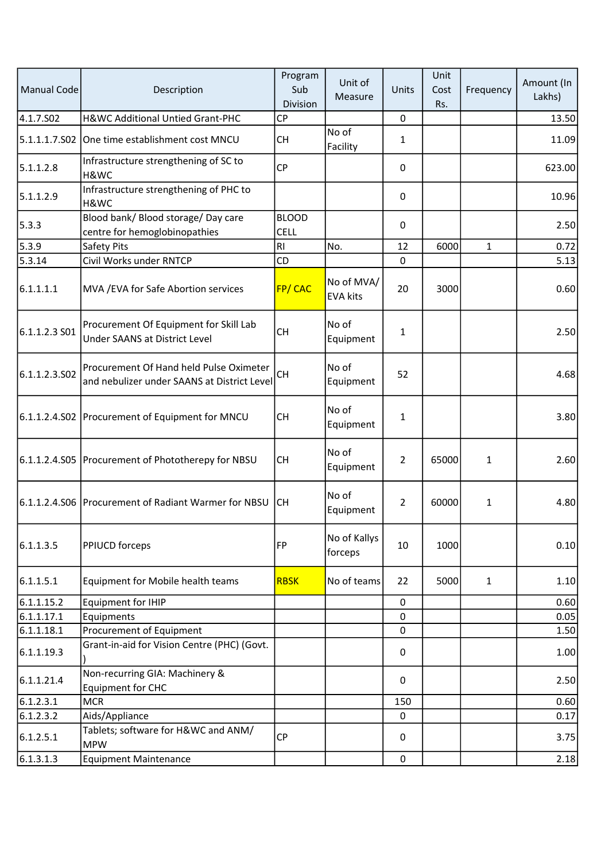| Manual Code   | Description                                                                            | Program<br>Sub<br>Division  | Unit of<br>Measure            | Units          | Unit<br>Cost<br>Rs. | Frequency    | Amount (In<br>Lakhs) |
|---------------|----------------------------------------------------------------------------------------|-----------------------------|-------------------------------|----------------|---------------------|--------------|----------------------|
| 4.1.7.S02     | H&WC Additional Untied Grant-PHC                                                       | <b>CP</b>                   |                               | $\pmb{0}$      |                     |              | 13.50                |
|               | 5.1.1.1.7.S02 One time establishment cost MNCU                                         | СH                          | No of<br>Facility             | $\mathbf{1}$   |                     |              | 11.09                |
| 5.1.1.2.8     | Infrastructure strengthening of SC to<br>H&WC                                          | CP                          |                               | $\pmb{0}$      |                     |              | 623.00               |
| 5.1.1.2.9     | Infrastructure strengthening of PHC to<br>H&WC                                         |                             |                               | 0              |                     |              | 10.96                |
| 5.3.3         | Blood bank/ Blood storage/ Day care<br>centre for hemoglobinopathies                   | <b>BLOOD</b><br><b>CELL</b> |                               | 0              |                     |              | 2.50                 |
| 5.3.9         | Safety Pits                                                                            | RI                          | No.                           | 12             | 6000                | $\mathbf{1}$ | 0.72                 |
| 5.3.14        | Civil Works under RNTCP                                                                | CD                          |                               | $\mathbf 0$    |                     |              | 5.13                 |
| 6.1.1.1.1     | MVA / EVA for Safe Abortion services                                                   | FP/CAC                      | No of MVA/<br><b>EVA kits</b> | 20             | 3000                |              | 0.60                 |
| 6.1.1.2.3 S01 | Procurement Of Equipment for Skill Lab<br>Under SAANS at District Level                | <b>CH</b>                   | No of<br>Equipment            | $\mathbf{1}$   |                     |              | 2.50                 |
| 6.1.1.2.3.502 | Procurement Of Hand held Pulse Oximeter<br>and nebulizer under SAANS at District Level | <b>CH</b>                   | No of<br>Equipment            | 52             |                     |              | 4.68                 |
|               | 6.1.1.2.4.S02 Procurement of Equipment for MNCU                                        | <b>CH</b>                   | No of<br>Equipment            | $\mathbf{1}$   |                     |              | 3.80                 |
|               | 6.1.1.2.4.S05   Procurement of Phototherepy for NBSU                                   | <b>CH</b>                   | No of<br>Equipment            | $\overline{2}$ | 65000               | 1            | 2.60                 |
|               | 6.1.1.2.4.S06 Procurement of Radiant Warmer for NBSU                                   | lCH.                        | No of<br>Equipment            | $\overline{2}$ | 60000               | 1            | 4.80                 |
| 6.1.1.3.5     | <b>PPIUCD forceps</b>                                                                  | FP                          | No of Kallys<br>forceps       | 10             | 1000                |              | 0.10                 |
| 6.1.1.5.1     | Equipment for Mobile health teams                                                      | <b>RBSK</b>                 | No of teams                   | 22             | 5000                | $\mathbf{1}$ | 1.10                 |
| 6.1.1.15.2    | <b>Equipment for IHIP</b>                                                              |                             |                               | $\pmb{0}$      |                     |              | 0.60                 |
| 6.1.1.17.1    | Equipments                                                                             |                             |                               | $\mathbf 0$    |                     |              | 0.05                 |
| 6.1.1.18.1    | Procurement of Equipment                                                               |                             |                               | $\mathbf 0$    |                     |              | 1.50                 |
| 6.1.1.19.3    | Grant-in-aid for Vision Centre (PHC) (Govt.                                            |                             |                               | $\pmb{0}$      |                     |              | 1.00                 |
| 6.1.1.21.4    | Non-recurring GIA: Machinery &<br><b>Equipment for CHC</b>                             |                             |                               | 0              |                     |              | 2.50                 |
| 6.1.2.3.1     | <b>MCR</b>                                                                             |                             |                               | 150            |                     |              | 0.60                 |
| 6.1.2.3.2     | Aids/Appliance                                                                         |                             |                               | 0              |                     |              | 0.17                 |
| 6.1.2.5.1     | Tablets; software for H&WC and ANM/<br><b>MPW</b>                                      | СP                          |                               | 0              |                     |              | 3.75                 |
| 6.1.3.1.3     | <b>Equipment Maintenance</b>                                                           |                             |                               | $\mathbf 0$    |                     |              | 2.18                 |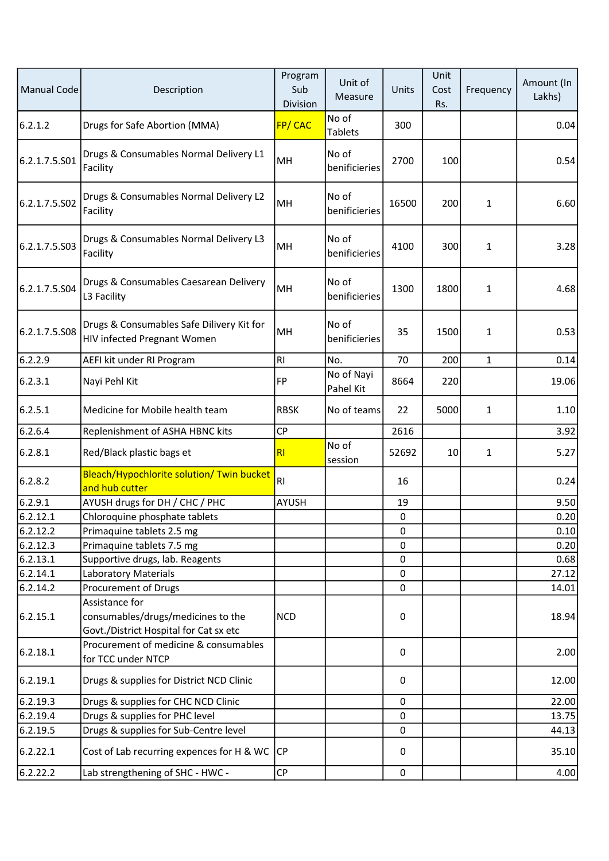| <b>Manual Code</b> | Description                                                                                    | Program<br>Sub<br>Division | Unit of<br>Measure      | Units     | Unit<br>Cost<br>Rs. | Frequency    | Amount (In<br>Lakhs) |
|--------------------|------------------------------------------------------------------------------------------------|----------------------------|-------------------------|-----------|---------------------|--------------|----------------------|
| 6.2.1.2            | Drugs for Safe Abortion (MMA)                                                                  | FP/CAC                     | No of<br><b>Tablets</b> | 300       |                     |              | 0.04                 |
| 6.2.1.7.5.S01      | Drugs & Consumables Normal Delivery L1<br>Facility                                             | MH                         | No of<br>benificieries  | 2700      | 100                 |              | 0.54                 |
| 6.2.1.7.5.S02      | Drugs & Consumables Normal Delivery L2<br>Facility                                             | <b>MH</b>                  | No of<br>benificieries  | 16500     | 200                 | $\mathbf{1}$ | 6.60                 |
| 6.2.1.7.5.S03      | Drugs & Consumables Normal Delivery L3<br>Facility                                             | <b>MH</b>                  | No of<br>benificieries  | 4100      | 300                 | $\mathbf{1}$ | 3.28                 |
| 6.2.1.7.5.S04      | Drugs & Consumables Caesarean Delivery<br>L3 Facility                                          | <b>MH</b>                  | No of<br>benificieries  | 1300      | 1800                | 1            | 4.68                 |
| 6.2.1.7.5.S08      | Drugs & Consumables Safe Dilivery Kit for<br>HIV infected Pregnant Women                       | MH                         | No of<br>benificieries  | 35        | 1500                | 1            | 0.53                 |
| 6.2.2.9            | AEFI kit under RI Program                                                                      | <b>RI</b>                  | No.                     | 70        | 200                 | $\mathbf{1}$ | 0.14                 |
| 6.2.3.1            | Nayi Pehl Kit                                                                                  | FP                         | No of Nayi<br>Pahel Kit | 8664      | 220                 |              | 19.06                |
| 6.2.5.1            | Medicine for Mobile health team                                                                | <b>RBSK</b>                | No of teams             | 22        | 5000                | $\mathbf{1}$ | 1.10                 |
| 6.2.6.4            | Replenishment of ASHA HBNC kits                                                                | <b>CP</b>                  |                         | 2616      |                     |              | 3.92                 |
| 6.2.8.1            | Red/Black plastic bags et                                                                      | R <sub>l</sub>             | No of<br>session        | 52692     | 10                  | $\mathbf{1}$ | 5.27                 |
| 6.2.8.2            | Bleach/Hypochlorite solution/ Twin bucket<br>and hub cutter                                    | R1                         |                         | 16        |                     |              | 0.24                 |
| 6.2.9.1            | AYUSH drugs for DH / CHC / PHC                                                                 | <b>AYUSH</b>               |                         | 19        |                     |              | 9.50                 |
| 6.2.12.1           | Chloroquine phosphate tablets                                                                  |                            |                         | 0         |                     |              | 0.20                 |
| 6.2.12.2           | Primaquine tablets 2.5 mg                                                                      |                            |                         | 0         |                     |              | 0.10                 |
| 6.2.12.3           | Primaquine tablets 7.5 mg                                                                      |                            |                         | 0         |                     |              | 0.20                 |
| 6.2.13.1           | Supportive drugs, lab. Reagents                                                                |                            |                         | 0         |                     |              | 0.68                 |
| 6.2.14.1           | <b>Laboratory Materials</b>                                                                    |                            |                         | 0         |                     |              | 27.12                |
| 6.2.14.2           | Procurement of Drugs                                                                           |                            |                         | 0         |                     |              | 14.01                |
| 6.2.15.1           | Assistance for<br>consumables/drugs/medicines to the<br>Govt./District Hospital for Cat sx etc | <b>NCD</b>                 |                         | 0         |                     |              | 18.94                |
| 6.2.18.1           | Procurement of medicine & consumables<br>for TCC under NTCP                                    |                            |                         | 0         |                     |              | 2.00                 |
| 6.2.19.1           | Drugs & supplies for District NCD Clinic                                                       |                            |                         | 0         |                     |              | 12.00                |
| 6.2.19.3           | Drugs & supplies for CHC NCD Clinic                                                            |                            |                         | 0         |                     |              | 22.00                |
| 6.2.19.4           | Drugs & supplies for PHC level                                                                 |                            |                         | 0         |                     |              | 13.75                |
| 6.2.19.5           | Drugs & supplies for Sub-Centre level                                                          |                            |                         | 0         |                     |              | 44.13                |
| 6.2.22.1           | Cost of Lab recurring expences for H & WC                                                      | <b>CP</b>                  |                         | 0         |                     |              | 35.10                |
| 6.2.22.2           | Lab strengthening of SHC - HWC -                                                               | $\mathsf{C}\mathsf{P}$     |                         | $\pmb{0}$ |                     |              | 4.00                 |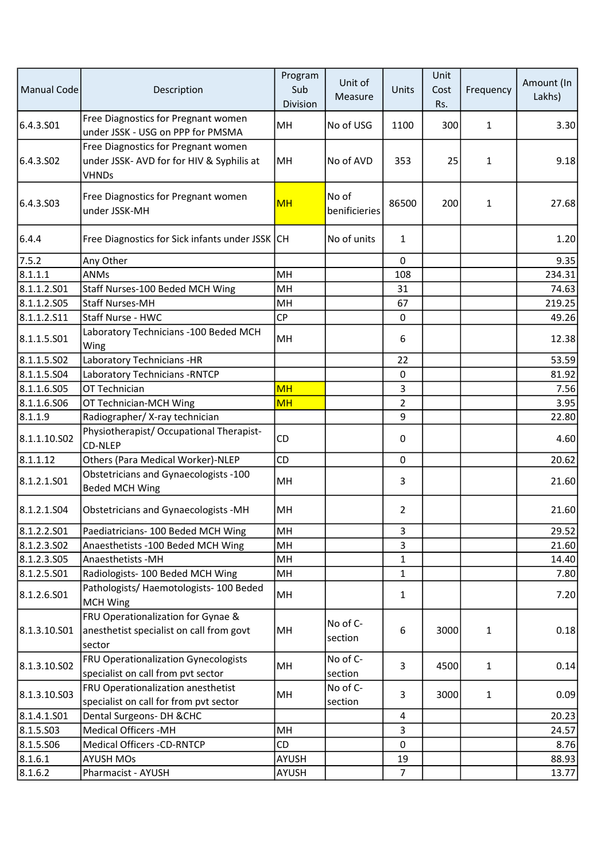| Manual Code  | Description                                                                                      | Program<br>Sub<br>Division | Unit of<br>Measure     | Units          | Unit<br>Cost<br>Rs. | Frequency    | Amount (In<br>Lakhs) |
|--------------|--------------------------------------------------------------------------------------------------|----------------------------|------------------------|----------------|---------------------|--------------|----------------------|
| 6.4.3.S01    | Free Diagnostics for Pregnant women<br>under JSSK - USG on PPP for PMSMA                         | MH                         | No of USG              | 1100           | 300                 | 1            | 3.30                 |
| 6.4.3.S02    | Free Diagnostics for Pregnant women<br>under JSSK- AVD for for HIV & Syphilis at<br><b>VHNDs</b> | MН                         | No of AVD              | 353            | 25                  | $\mathbf{1}$ | 9.18                 |
| 6.4.3.S03    | Free Diagnostics for Pregnant women<br>under JSSK-MH                                             | <b>MH</b>                  | No of<br>benificieries | 86500          | 200                 | $\mathbf{1}$ | 27.68                |
| 6.4.4        | Free Diagnostics for Sick infants under JSSK CH                                                  |                            | No of units            | $\mathbf{1}$   |                     |              | 1.20                 |
| 7.5.2        | Any Other                                                                                        |                            |                        | $\mathbf 0$    |                     |              | 9.35                 |
| 8.1.1.1      | <b>ANMs</b>                                                                                      | MH                         |                        | 108            |                     |              | 234.31               |
| 8.1.1.2.S01  | Staff Nurses-100 Beded MCH Wing                                                                  | MH                         |                        | 31             |                     |              | 74.63                |
| 8.1.1.2.505  | <b>Staff Nurses-MH</b>                                                                           | MH                         |                        | 67             |                     |              | 219.25               |
| 8.1.1.2.511  | Staff Nurse - HWC                                                                                | <b>CP</b>                  |                        | $\mathbf 0$    |                     |              | 49.26                |
| 8.1.1.5.501  | Laboratory Technicians - 100 Beded MCH<br>Wing                                                   | MH                         |                        | 6              |                     |              | 12.38                |
| 8.1.1.5.502  | Laboratory Technicians -HR                                                                       |                            |                        | 22             |                     |              | 53.59                |
| 8.1.1.5.504  | Laboratory Technicians - RNTCP                                                                   |                            |                        | $\pmb{0}$      |                     |              | 81.92                |
| 8.1.1.6.505  | OT Technician                                                                                    | <b>MH</b>                  |                        | 3              |                     |              | 7.56                 |
| 8.1.1.6.506  | OT Technician-MCH Wing                                                                           | <b>MH</b>                  |                        | $\overline{2}$ |                     |              | 3.95                 |
| 8.1.1.9      | Radiographer/X-ray technician                                                                    |                            |                        | 9              |                     |              | 22.80                |
| 8.1.1.10.502 | Physiotherapist/ Occupational Therapist-<br><b>CD-NLEP</b>                                       | CD                         |                        | 0              |                     |              | 4.60                 |
| 8.1.1.12     | Others (Para Medical Worker)-NLEP                                                                | CD                         |                        | $\mathbf 0$    |                     |              | 20.62                |
| 8.1.2.1.S01  | Obstetricians and Gynaecologists -100<br><b>Beded MCH Wing</b>                                   | MH                         |                        | 3              |                     |              | 21.60                |
| 8.1.2.1.504  | Obstetricians and Gynaecologists -MH                                                             | MH                         |                        | $\overline{2}$ |                     |              | 21.60                |
| 8.1.2.2.501  | Paediatricians- 100 Beded MCH Wing                                                               | MH                         |                        | 3              |                     |              | 29.52                |
| 8.1.2.3.502  | Anaesthetists -100 Beded MCH Wing                                                                | MH                         |                        | 3              |                     |              | 21.60                |
| 8.1.2.3.505  | Anaesthetists - MH                                                                               | MH                         |                        | 1              |                     |              | 14.40                |
| 8.1.2.5.501  | Radiologists-100 Beded MCH Wing                                                                  | MH                         |                        | $\mathbf 1$    |                     |              | 7.80                 |
| 8.1.2.6.501  | Pathologists/Haemotologists-100 Beded<br><b>MCH Wing</b>                                         | MH                         |                        | 1              |                     |              | 7.20                 |
| 8.1.3.10.S01 | FRU Operationalization for Gynae &<br>anesthetist specialist on call from govt<br>sector         | MH                         | No of C-<br>section    | 6              | 3000                | $\mathbf{1}$ | 0.18                 |
| 8.1.3.10.S02 | FRU Operationalization Gynecologists<br>specialist on call from pvt sector                       | MH                         | No of C-<br>section    | 3              | 4500                | $\mathbf{1}$ | 0.14                 |
| 8.1.3.10.503 | FRU Operationalization anesthetist<br>specialist on call for from pvt sector                     | MH                         | No of C-<br>section    | 3              | 3000                | $\mathbf{1}$ | 0.09                 |
| 8.1.4.1.501  | Dental Surgeons- DH & CHC                                                                        |                            |                        | $\overline{4}$ |                     |              | 20.23                |
| 8.1.5.503    | <b>Medical Officers -MH</b>                                                                      | MH                         |                        | 3              |                     |              | 24.57                |
| 8.1.5.506    | <b>Medical Officers -CD-RNTCP</b>                                                                | <b>CD</b>                  |                        | $\mathbf 0$    |                     |              | 8.76                 |
| 8.1.6.1      | <b>AYUSH MOs</b>                                                                                 | AYUSH                      |                        | 19             |                     |              | 88.93                |
| 8.1.6.2      | Pharmacist - AYUSH                                                                               | <b>AYUSH</b>               |                        | $\overline{7}$ |                     |              | 13.77                |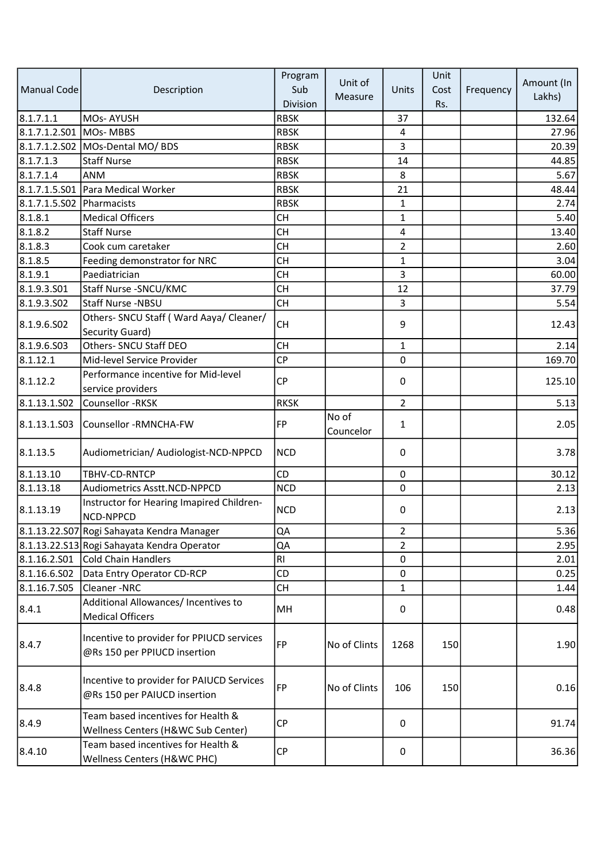|                           |                                                                           | Program     | Unit of            |                | Unit |           | Amount (In |
|---------------------------|---------------------------------------------------------------------------|-------------|--------------------|----------------|------|-----------|------------|
| Manual Code               | Description                                                               | Sub         | Measure            | Units          | Cost | Frequency | Lakhs)     |
|                           |                                                                           | Division    |                    |                | Rs.  |           |            |
| 8.1.7.1.1                 | MOs-AYUSH                                                                 | <b>RBSK</b> |                    | 37             |      |           | 132.64     |
| 8.1.7.1.2.S01 MOs- MBBS   |                                                                           | <b>RBSK</b> |                    | $\overline{4}$ |      |           | 27.96      |
|                           | 8.1.7.1.2.S02   MOs-Dental MO/ BDS                                        | <b>RBSK</b> |                    | 3              |      |           | 20.39      |
| 8.1.7.1.3                 | <b>Staff Nurse</b>                                                        | <b>RBSK</b> |                    | 14             |      |           | 44.85      |
| 8.1.7.1.4                 | <b>ANM</b>                                                                | <b>RBSK</b> |                    | 8              |      |           | $5.67$     |
|                           | 8.1.7.1.5.S01 Para Medical Worker                                         | <b>RBSK</b> |                    | 21             |      |           | 48.44      |
| 8.1.7.1.5.S02 Pharmacists |                                                                           | <b>RBSK</b> |                    | $\mathbf{1}$   |      |           | 2.74       |
| 8.1.8.1                   | <b>Medical Officers</b>                                                   | <b>CH</b>   |                    | 1              |      |           | 5.40       |
| 8.1.8.2                   | <b>Staff Nurse</b>                                                        | <b>CH</b>   |                    | 4              |      |           | 13.40      |
| 8.1.8.3                   | Cook cum caretaker                                                        | <b>CH</b>   |                    | $\overline{2}$ |      |           | 2.60       |
| 8.1.8.5                   | Feeding demonstrator for NRC                                              | <b>CH</b>   |                    | 1              |      |           | 3.04       |
| 8.1.9.1                   | Paediatrician                                                             | <b>CH</b>   |                    | 3              |      |           | 60.00      |
| 8.1.9.3.S01               | Staff Nurse - SNCU/KMC                                                    | <b>CH</b>   |                    | 12             |      |           | 37.79      |
| 8.1.9.3.502               | <b>Staff Nurse -NBSU</b>                                                  | <b>CH</b>   |                    | 3              |      |           | 5.54       |
| 8.1.9.6.S02               | Others- SNCU Staff (Ward Aaya/ Cleaner/<br>Security Guard)                | <b>CH</b>   |                    | $\mathsf 9$    |      |           | 12.43      |
| 8.1.9.6.S03               | Others- SNCU Staff DEO                                                    | <b>CH</b>   |                    | $\mathbf{1}$   |      |           | 2.14       |
| 8.1.12.1                  | Mid-level Service Provider                                                | <b>CP</b>   |                    | 0              |      |           | 169.70     |
| 8.1.12.2                  | Performance incentive for Mid-level<br>service providers                  | <b>CP</b>   |                    | 0              |      |           | 125.10     |
| 8.1.13.1.502              | Counsellor -RKSK                                                          | <b>RKSK</b> |                    | $\overline{2}$ |      |           | 5.13       |
| 8.1.13.1.503              | Counsellor -RMNCHA-FW                                                     | <b>FP</b>   | No of<br>Councelor | $\mathbf{1}$   |      |           | 2.05       |
| 8.1.13.5                  | Audiometrician/ Audiologist-NCD-NPPCD                                     | <b>NCD</b>  |                    | 0              |      |           | 3.78       |
| 8.1.13.10                 | TBHV-CD-RNTCP                                                             | <b>CD</b>   |                    | 0              |      |           | 30.12      |
| 8.1.13.18                 | Audiometrics Asstt.NCD-NPPCD                                              | <b>NCD</b>  |                    | $\Omega$       |      |           | 2.13       |
| 8.1.13.19                 | Instructor for Hearing Imapired Children-<br>NCD-NPPCD                    | <b>NCD</b>  |                    | 0              |      |           | 2.13       |
|                           | 8.1.13.22.S07 Rogi Sahayata Kendra Manager                                | QA          |                    | 2              |      |           | 5.36       |
|                           | 8.1.13.22.S13 Rogi Sahayata Kendra Operator                               | QA          |                    | $\overline{2}$ |      |           | 2.95       |
| 8.1.16.2.501              | Cold Chain Handlers                                                       | <b>RI</b>   |                    | 0              |      |           | 2.01       |
| 8.1.16.6.S02              | Data Entry Operator CD-RCP                                                | CD          |                    | 0              |      |           | 0.25       |
| 8.1.16.7.S05              | Cleaner-NRC                                                               | <b>CH</b>   |                    | $\mathbf{1}$   |      |           | 1.44       |
| 8.4.1                     | Additional Allowances/ Incentives to<br><b>Medical Officers</b>           | MH          |                    | 0              |      |           | 0.48       |
| 8.4.7                     | Incentive to provider for PPIUCD services<br>@Rs 150 per PPIUCD insertion | <b>FP</b>   | No of Clints       | 1268           | 150  |           | 1.90       |
| 8.4.8                     | Incentive to provider for PAIUCD Services<br>@Rs 150 per PAIUCD insertion | FP          | No of Clints       | 106            | 150  |           | 0.16       |
| 8.4.9                     | Team based incentives for Health &<br>Wellness Centers (H&WC Sub Center)  | <b>CP</b>   |                    | 0              |      |           | 91.74      |
| 8.4.10                    | Team based incentives for Health &<br>Wellness Centers (H&WC PHC)         | <b>CP</b>   |                    | 0              |      |           | 36.36      |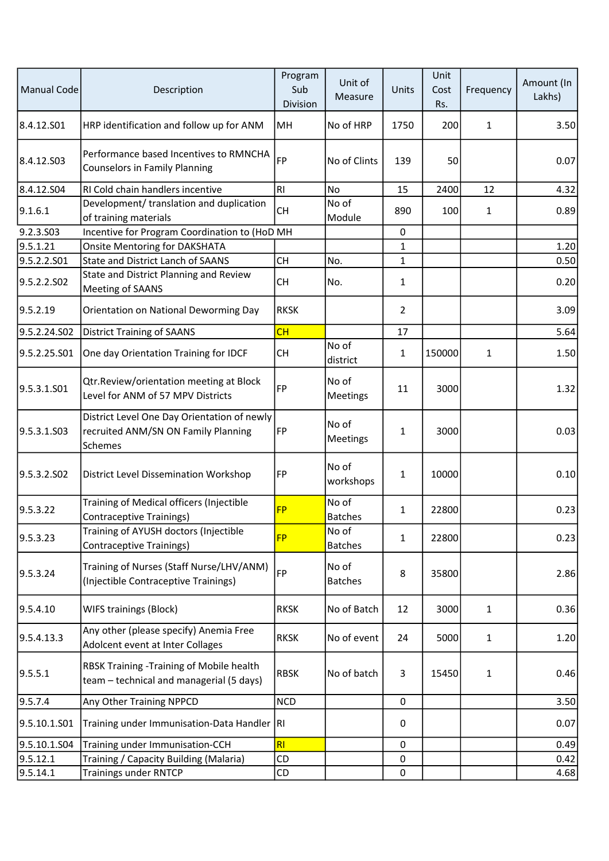| Manual Code  | Description                                                                                   | Program<br>Sub<br>Division | Unit of<br>Measure      | Units          | Unit<br>Cost<br>Rs. | Frequency    | Amount (In<br>Lakhs) |
|--------------|-----------------------------------------------------------------------------------------------|----------------------------|-------------------------|----------------|---------------------|--------------|----------------------|
| 8.4.12.S01   | HRP identification and follow up for ANM                                                      | MН                         | No of HRP               | 1750           | 200                 | $\mathbf{1}$ | 3.50                 |
| 8.4.12.S03   | Performance based Incentives to RMNCHA<br><b>Counselors in Family Planning</b>                | <b>FP</b>                  | No of Clints            | 139            | 50                  |              | 0.07                 |
| 8.4.12.S04   | <b>RI Cold chain handlers incentive</b>                                                       | <b>RI</b>                  | No                      | 15             | 2400                | 12           | 4.32                 |
| 9.1.6.1      | Development/ translation and duplication<br>of training materials                             | <b>CH</b>                  | No of<br>Module         | 890            | 100                 | $\mathbf{1}$ | 0.89                 |
| 9.2.3.S03    | Incentive for Program Coordination to (HoD MH                                                 |                            |                         | $\mathbf 0$    |                     |              |                      |
| 9.5.1.21     | <b>Onsite Mentoring for DAKSHATA</b>                                                          |                            |                         | $\mathbf{1}$   |                     |              | 1.20                 |
| 9.5.2.2.S01  | <b>State and District Lanch of SAANS</b>                                                      | <b>CH</b>                  | No.                     | $\mathbf{1}$   |                     |              | 0.50                 |
| 9.5.2.2.S02  | State and District Planning and Review<br>Meeting of SAANS                                    | <b>CH</b>                  | No.                     | $\mathbf{1}$   |                     |              | 0.20                 |
| 9.5.2.19     | Orientation on National Deworming Day                                                         | <b>RKSK</b>                |                         | $\overline{2}$ |                     |              | 3.09                 |
| 9.5.2.24.S02 | <b>District Training of SAANS</b>                                                             | CH                         |                         | 17             |                     |              | 5.64                 |
| 9.5.2.25.S01 | One day Orientation Training for IDCF                                                         | <b>CH</b>                  | No of<br>district       | $\mathbf{1}$   | 150000              | $\mathbf{1}$ | 1.50                 |
| 9.5.3.1.S01  | Qtr.Review/orientation meeting at Block<br>Level for ANM of 57 MPV Districts                  | <b>FP</b>                  | No of<br>Meetings       | 11             | 3000                |              | 1.32                 |
| 9.5.3.1.S03  | District Level One Day Orientation of newly<br>recruited ANM/SN ON Family Planning<br>Schemes | FP                         | No of<br>Meetings       | $\mathbf{1}$   | 3000                |              | 0.03                 |
| 9.5.3.2.SO2  | District Level Dissemination Workshop                                                         | FP                         | No of<br>workshops      | $\mathbf{1}$   | 10000               |              | 0.10                 |
| 9.5.3.22     | Training of Medical officers (Injectible<br><b>Contraceptive Trainings)</b>                   | <b>FP</b>                  | No of<br><b>Batches</b> | $\mathbf{1}$   | 22800               |              | 0.23                 |
| 9.5.3.23     | Training of AYUSH doctors (Injectible<br><b>Contraceptive Trainings)</b>                      | <b>FP</b>                  | No of<br><b>Batches</b> | $\mathbf{1}$   | 22800               |              | 0.23                 |
| 9.5.3.24     | Training of Nurses (Staff Nurse/LHV/ANM)<br>(Injectible Contraceptive Trainings)              | FP                         | No of<br><b>Batches</b> | 8              | 35800               |              | 2.86                 |
| 9.5.4.10     | <b>WIFS trainings (Block)</b>                                                                 | <b>RKSK</b>                | No of Batch             | 12             | 3000                | $\mathbf{1}$ | 0.36                 |
| 9.5.4.13.3   | Any other (please specify) Anemia Free<br>Adolcent event at Inter Collages                    | <b>RKSK</b>                | No of event             | 24             | 5000                | $\mathbf{1}$ | 1.20                 |
| 9.5.5.1      | RBSK Training - Training of Mobile health<br>team - technical and managerial (5 days)         | <b>RBSK</b>                | No of batch             | 3              | 15450               | $\mathbf{1}$ | 0.46                 |
| 9.5.7.4      | Any Other Training NPPCD                                                                      | <b>NCD</b>                 |                         | 0              |                     |              | 3.50                 |
| 9.5.10.1.S01 | Training under Immunisation-Data Handler   RI                                                 |                            |                         | 0              |                     |              | 0.07                 |
| 9.5.10.1.504 | Training under Immunisation-CCH                                                               | R1                         |                         | 0              |                     |              | 0.49                 |
| 9.5.12.1     | Training / Capacity Building (Malaria)                                                        | CD                         |                         | 0              |                     |              | 0.42                 |
| 9.5.14.1     | <b>Trainings under RNTCP</b>                                                                  | CD                         |                         | $\pmb{0}$      |                     |              | 4.68                 |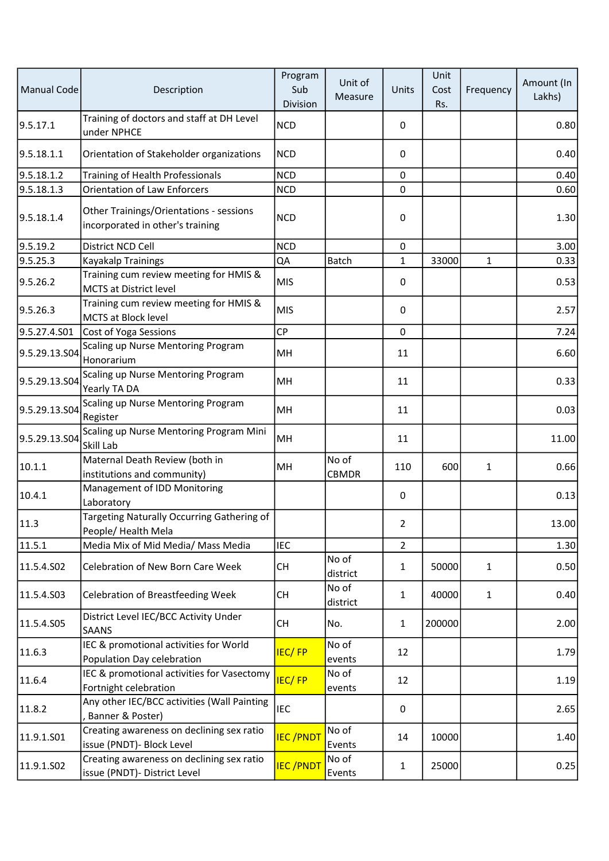| Manual Code   | Description                                                                 | Program<br>Sub<br>Division | Unit of<br>Measure    | Units          | Unit<br>Cost<br>Rs. | Frequency    | Amount (In<br>Lakhs) |
|---------------|-----------------------------------------------------------------------------|----------------------------|-----------------------|----------------|---------------------|--------------|----------------------|
| 9.5.17.1      | Training of doctors and staff at DH Level<br>under NPHCE                    | <b>NCD</b>                 |                       | 0              |                     |              | 0.80                 |
| 9.5.18.1.1    | Orientation of Stakeholder organizations                                    | <b>NCD</b>                 |                       | 0              |                     |              | 0.40                 |
| 9.5.18.1.2    | Training of Health Professionals                                            | <b>NCD</b>                 |                       | $\mathbf 0$    |                     |              | 0.40                 |
| 9.5.18.1.3    | <b>Orientation of Law Enforcers</b>                                         | <b>NCD</b>                 |                       | $\mathbf 0$    |                     |              | 0.60                 |
| 9.5.18.1.4    | Other Trainings/Orientations - sessions<br>incorporated in other's training | <b>NCD</b>                 |                       | 0              |                     |              | 1.30                 |
| 9.5.19.2      | District NCD Cell                                                           | <b>NCD</b>                 |                       | 0              |                     |              | 3.00                 |
| 9.5.25.3      | Kayakalp Trainings                                                          | QA                         | <b>Batch</b>          | $\mathbf{1}$   | 33000               | $\mathbf{1}$ | 0.33                 |
| 9.5.26.2      | Training cum review meeting for HMIS &<br><b>MCTS at District level</b>     | <b>MIS</b>                 |                       | 0              |                     |              | 0.53                 |
| 9.5.26.3      | Training cum review meeting for HMIS &<br><b>MCTS at Block level</b>        | <b>MIS</b>                 |                       | 0              |                     |              | 2.57                 |
| 9.5.27.4.S01  | Cost of Yoga Sessions                                                       | <b>CP</b>                  |                       | 0              |                     |              | 7.24                 |
| 9.5.29.13.S04 | Scaling up Nurse Mentoring Program<br>Honorarium                            | MH                         |                       | 11             |                     |              | 6.60                 |
| 9.5.29.13.S04 | Scaling up Nurse Mentoring Program<br>Yearly TA DA                          | MH                         |                       | 11             |                     |              | 0.33                 |
| 9.5.29.13.S04 | Scaling up Nurse Mentoring Program<br>Register                              | MH                         |                       | 11             |                     |              | 0.03                 |
| 9.5.29.13.S04 | Scaling up Nurse Mentoring Program Mini<br>Skill Lab                        | MH                         |                       | 11             |                     |              | 11.00                |
| 10.1.1        | Maternal Death Review (both in<br>institutions and community)               | MH                         | No of<br><b>CBMDR</b> | 110            | 600                 | $\mathbf{1}$ | 0.66                 |
| 10.4.1        | Management of IDD Monitoring<br>Laboratory                                  |                            |                       | 0              |                     |              | 0.13                 |
| 11.3          | Targeting Naturally Occurring Gathering of<br>People/ Health Mela           |                            |                       | $\overline{2}$ |                     |              | 13.00                |
| 11.5.1        | Media Mix of Mid Media/ Mass Media                                          | <b>IEC</b>                 |                       | $\overline{2}$ |                     |              | 1.30                 |
| 11.5.4.S02    | Celebration of New Born Care Week                                           | <b>CH</b>                  | No of<br>district     | $\mathbf{1}$   | 50000               | $\mathbf{1}$ | 0.50                 |
| 11.5.4.503    | <b>Celebration of Breastfeeding Week</b>                                    | <b>CH</b>                  | No of<br>district     | $\mathbf{1}$   | 40000               | $\mathbf{1}$ | 0.40                 |
| 11.5.4.S05    | District Level IEC/BCC Activity Under<br><b>SAANS</b>                       | <b>CH</b>                  | No.                   | $\mathbf{1}$   | 200000              |              | 2.00                 |
| 11.6.3        | IEC & promotional activities for World<br>Population Day celebration        | <b>IEC/FP</b>              | No of<br>events       | 12             |                     |              | 1.79                 |
| 11.6.4        | IEC & promotional activities for Vasectomy<br>Fortnight celebration         | <b>IEC/FP</b>              | No of<br>events       | 12             |                     |              | 1.19                 |
| 11.8.2        | Any other IEC/BCC activities (Wall Painting<br>Banner & Poster)             | <b>IEC</b>                 |                       | 0              |                     |              | 2.65                 |
| 11.9.1.S01    | Creating awareness on declining sex ratio<br>issue (PNDT)- Block Level      | <b>IEC/PNDT</b>            | No of<br>Events       | 14             | 10000               |              | 1.40                 |
| 11.9.1.S02    | Creating awareness on declining sex ratio<br>issue (PNDT)- District Level   | <b>IEC/PNDT</b>            | No of<br>Events       | $\mathbf{1}$   | 25000               |              | 0.25                 |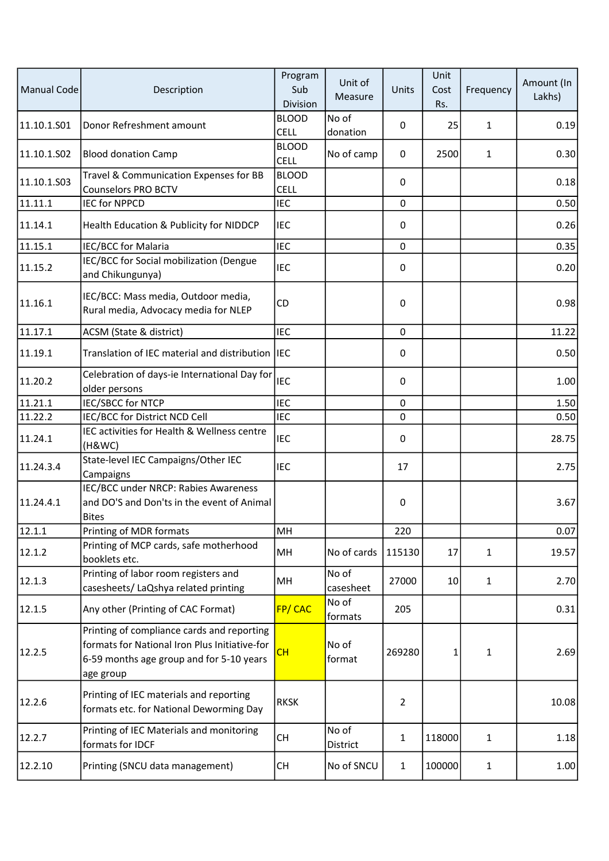| <b>Manual Code</b> | Description                                                                                                                                          | Program<br>Sub<br>Division  | Unit of<br>Measure | Units          | Unit<br>Cost<br>Rs. | Frequency    | Amount (In<br>Lakhs) |
|--------------------|------------------------------------------------------------------------------------------------------------------------------------------------------|-----------------------------|--------------------|----------------|---------------------|--------------|----------------------|
| 11.10.1.501        | Donor Refreshment amount                                                                                                                             | <b>BLOOD</b><br>CELL        | No of<br>donation  | 0              | 25                  | 1            | 0.19                 |
| 11.10.1.S02        | <b>Blood donation Camp</b>                                                                                                                           | <b>BLOOD</b><br><b>CELL</b> | No of camp         | 0              | 2500                | $\mathbf{1}$ | 0.30                 |
| 11.10.1.503        | Travel & Communication Expenses for BB<br><b>Counselors PRO BCTV</b>                                                                                 | <b>BLOOD</b><br><b>CELL</b> |                    | 0              |                     |              | 0.18                 |
| 11.11.1            | <b>IEC for NPPCD</b>                                                                                                                                 | <b>IEC</b>                  |                    | 0              |                     |              | 0.50                 |
| 11.14.1            | Health Education & Publicity for NIDDCP                                                                                                              | <b>IEC</b>                  |                    | 0              |                     |              | 0.26                 |
| 11.15.1            | IEC/BCC for Malaria                                                                                                                                  | <b>IEC</b>                  |                    | $\mathbf 0$    |                     |              | 0.35                 |
| 11.15.2            | IEC/BCC for Social mobilization (Dengue<br>and Chikungunya)                                                                                          | <b>IEC</b>                  |                    | 0              |                     |              | 0.20                 |
| 11.16.1            | IEC/BCC: Mass media, Outdoor media,<br>Rural media, Advocacy media for NLEP                                                                          | CD                          |                    | 0              |                     |              | 0.98                 |
| 11.17.1            | ACSM (State & district)                                                                                                                              | <b>IEC</b>                  |                    | 0              |                     |              | 11.22                |
| 11.19.1            | Translation of IEC material and distribution IEC                                                                                                     |                             |                    | 0              |                     |              | 0.50                 |
| 11.20.2            | Celebration of days-ie International Day for<br>older persons                                                                                        | <b>IEC</b>                  |                    | 0              |                     |              | 1.00                 |
| 11.21.1            | <b>IEC/SBCC for NTCP</b>                                                                                                                             | <b>IEC</b>                  |                    | $\mathbf 0$    |                     |              | 1.50                 |
| 11.22.2            | IEC/BCC for District NCD Cell                                                                                                                        | <b>IEC</b>                  |                    | $\mathbf 0$    |                     |              | 0.50                 |
| 11.24.1            | IEC activities for Health & Wellness centre<br>(H&WC)                                                                                                | <b>IEC</b>                  |                    | 0              |                     |              | 28.75                |
| 11.24.3.4          | State-level IEC Campaigns/Other IEC<br>Campaigns                                                                                                     | <b>IEC</b>                  |                    | 17             |                     |              | 2.75                 |
| 11.24.4.1          | IEC/BCC under NRCP: Rabies Awareness<br>and DO'S and Don'ts in the event of Animal<br><b>Bites</b>                                                   |                             |                    | 0              |                     |              | 3.67                 |
| 12.1.1             | Printing of MDR formats                                                                                                                              | MH                          |                    | 220            |                     |              | 0.07                 |
| 12.1.2             | Printing of MCP cards, safe motherhood<br>booklets etc.                                                                                              | MH                          | No of cards        | 115130         | 17                  | 1            | 19.57                |
| 12.1.3             | Printing of labor room registers and<br>casesheets/ LaQshya related printing                                                                         | MH                          | No of<br>casesheet | 27000          | 10                  | $\mathbf{1}$ | 2.70                 |
| 12.1.5             | Any other (Printing of CAC Format)                                                                                                                   | FP/CAC                      | No of<br>formats   | 205            |                     |              | 0.31                 |
| 12.2.5             | Printing of compliance cards and reporting<br>formats for National Iron Plus Initiative-for<br>6-59 months age group and for 5-10 years<br>age group | <b>CH</b>                   | No of<br>format    | 269280         | 1                   | 1            | 2.69                 |
| 12.2.6             | Printing of IEC materials and reporting<br>formats etc. for National Deworming Day                                                                   | <b>RKSK</b>                 |                    | $\overline{2}$ |                     |              | 10.08                |
| 12.2.7             | Printing of IEC Materials and monitoring<br>formats for IDCF                                                                                         | <b>CH</b>                   | No of<br>District  | $\mathbf{1}$   | 118000              | $\mathbf{1}$ | 1.18                 |
| 12.2.10            | Printing (SNCU data management)                                                                                                                      | СH                          | No of SNCU         | $\mathbf{1}$   | 100000              | $\mathbf{1}$ | 1.00                 |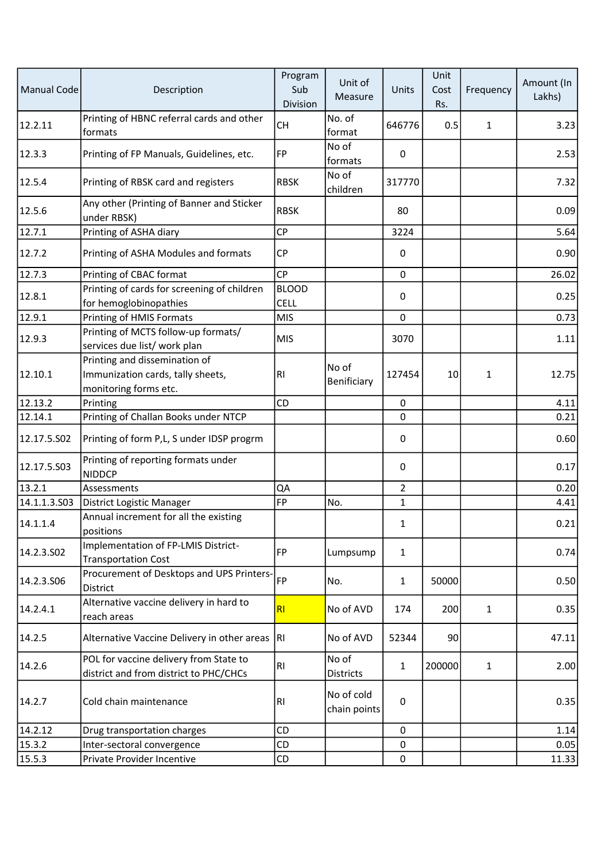| <b>Manual Code</b> | Description                                                                                 | Program<br>Sub<br>Division | Unit of<br>Measure         | Units          | Unit<br>Cost<br>Rs. | Frequency    | Amount (In<br>Lakhs) |
|--------------------|---------------------------------------------------------------------------------------------|----------------------------|----------------------------|----------------|---------------------|--------------|----------------------|
| 12.2.11            | Printing of HBNC referral cards and other<br>formats                                        | <b>CH</b>                  | No. of<br>format           | 646776         | 0.5                 | $\mathbf{1}$ | 3.23                 |
| 12.3.3             | Printing of FP Manuals, Guidelines, etc.                                                    | <b>FP</b>                  | No of<br>formats           | 0              |                     |              | 2.53                 |
| 12.5.4             | Printing of RBSK card and registers                                                         | <b>RBSK</b>                | No of<br>children          | 317770         |                     |              | 7.32                 |
| 12.5.6             | Any other (Printing of Banner and Sticker<br>under RBSK)                                    | <b>RBSK</b>                |                            | 80             |                     |              | 0.09                 |
| 12.7.1             | Printing of ASHA diary                                                                      | <b>CP</b>                  |                            | 3224           |                     |              | 5.64                 |
| 12.7.2             | Printing of ASHA Modules and formats                                                        | СP                         |                            | 0              |                     |              | 0.90                 |
| 12.7.3             | Printing of CBAC format                                                                     | <b>CP</b>                  |                            | $\mathbf 0$    |                     |              | 26.02                |
|                    | Printing of cards for screening of children                                                 | <b>BLOOD</b>               |                            |                |                     |              |                      |
| 12.8.1             | for hemoglobinopathies                                                                      | <b>CELL</b>                |                            | 0              |                     |              | 0.25                 |
| 12.9.1             | Printing of HMIS Formats                                                                    | <b>MIS</b>                 |                            | 0              |                     |              | 0.73                 |
| 12.9.3             | Printing of MCTS follow-up formats/<br>services due list/ work plan                         | <b>MIS</b>                 |                            | 3070           |                     |              | 1.11                 |
| 12.10.1            | Printing and dissemination of<br>Immunization cards, tally sheets,<br>monitoring forms etc. | RI                         | No of<br>Benificiary       | 127454         | 10                  | 1            | 12.75                |
| 12.13.2            | Printing                                                                                    | CD                         |                            | $\mathbf 0$    |                     |              | 4.11                 |
| 12.14.1            | Printing of Challan Books under NTCP                                                        |                            |                            | $\mathbf 0$    |                     |              | 0.21                 |
| 12.17.5.502        | Printing of form P,L, S under IDSP progrm                                                   |                            |                            | 0              |                     |              | 0.60                 |
| 12.17.5.503        | Printing of reporting formats under<br><b>NIDDCP</b>                                        |                            |                            | 0              |                     |              | 0.17                 |
| 13.2.1             | Assessments                                                                                 | QA                         |                            | $\overline{2}$ |                     |              | 0.20                 |
| 14.1.1.3.503       | District Logistic Manager                                                                   | FP                         | No.                        | $\mathbf{1}$   |                     |              | 4.41                 |
| 14.1.1.4           | Annual increment for all the existing<br>positions                                          |                            |                            | 1              |                     |              | 0.21                 |
| 14.2.3.S02         | Implementation of FP-LMIS District-<br><b>Transportation Cost</b>                           | <b>FP</b>                  | Lumpsump                   | $\mathbf{1}$   |                     |              | 0.74                 |
| 14.2.3.S06         | Procurement of Desktops and UPS Printers-<br>District                                       | FP                         | No.                        | $\mathbf{1}$   | 50000               |              | 0.50                 |
| 14.2.4.1           | Alternative vaccine delivery in hard to<br>reach areas                                      | R <sub>l</sub>             | No of AVD                  | 174            | 200                 | $\mathbf{1}$ | 0.35                 |
| 14.2.5             | Alternative Vaccine Delivery in other areas RI                                              |                            | No of AVD                  | 52344          | 90                  |              | 47.11                |
| 14.2.6             | POL for vaccine delivery from State to<br>district and from district to PHC/CHCs            | RI                         | No of<br>Districts         | $\mathbf{1}$   | 200000              | $\mathbf{1}$ | 2.00                 |
| 14.2.7             | Cold chain maintenance                                                                      | RI                         | No of cold<br>chain points | 0              |                     |              | 0.35                 |
| 14.2.12            | Drug transportation charges                                                                 | <b>CD</b>                  |                            | 0              |                     |              | 1.14                 |
| 15.3.2             | Inter-sectoral convergence                                                                  | CD                         |                            | 0              |                     |              | 0.05                 |
| 15.5.3             | Private Provider Incentive                                                                  | CD                         |                            | $\pmb{0}$      |                     |              | 11.33                |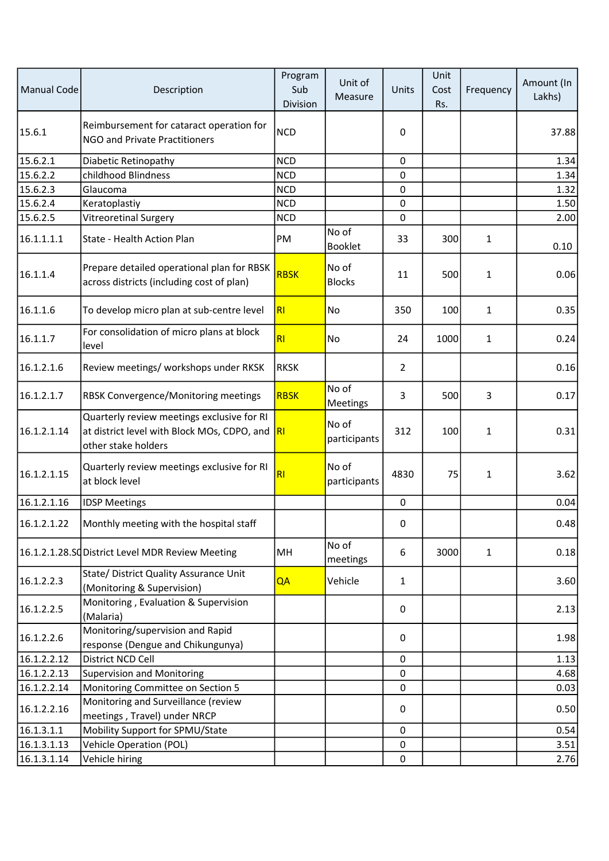| <b>Manual Code</b> | Description                                                                                                      | Program<br>Sub<br>Division | Unit of<br>Measure      | Units          | Unit<br>Cost<br>Rs. | Frequency      | Amount (In<br>Lakhs) |
|--------------------|------------------------------------------------------------------------------------------------------------------|----------------------------|-------------------------|----------------|---------------------|----------------|----------------------|
| 15.6.1             | Reimbursement for cataract operation for<br>NGO and Private Practitioners                                        | <b>NCD</b>                 |                         | 0              |                     |                | 37.88                |
| 15.6.2.1           | Diabetic Retinopathy                                                                                             | <b>NCD</b>                 |                         | 0              |                     |                | 1.34                 |
| 15.6.2.2           | childhood Blindness                                                                                              | <b>NCD</b>                 |                         | $\mathbf 0$    |                     |                | 1.34                 |
| 15.6.2.3           | Glaucoma                                                                                                         | <b>NCD</b>                 |                         | $\mathbf 0$    |                     |                | 1.32                 |
| 15.6.2.4           | Keratoplastiy                                                                                                    | <b>NCD</b>                 |                         | 0              |                     |                | 1.50                 |
| 15.6.2.5           | Vitreoretinal Surgery                                                                                            | <b>NCD</b>                 |                         | $\mathbf 0$    |                     |                | 2.00                 |
| 16.1.1.1.1         | State - Health Action Plan                                                                                       | PM                         | No of<br><b>Booklet</b> | 33             | 300                 | $\mathbf{1}$   | 0.10                 |
| 16.1.1.4           | Prepare detailed operational plan for RBSK<br>across districts (including cost of plan)                          | <b>RBSK</b>                | No of<br><b>Blocks</b>  | 11             | 500                 | $\mathbf{1}$   | 0.06                 |
| 16.1.1.6           | To develop micro plan at sub-centre level                                                                        | R1                         | No                      | 350            | 100                 | $\mathbf{1}$   | 0.35                 |
| 16.1.1.7           | For consolidation of micro plans at block<br>level                                                               | R <sub>l</sub>             | No                      | 24             | 1000                | $\mathbf{1}$   | 0.24                 |
| 16.1.2.1.6         | Review meetings/ workshops under RKSK                                                                            | <b>RKSK</b>                |                         | $\overline{2}$ |                     |                | 0.16                 |
| 16.1.2.1.7         | RBSK Convergence/Monitoring meetings                                                                             | <b>RBSK</b>                | No of<br>Meetings       | 3              | 500                 | $\overline{3}$ | 0.17                 |
| 16.1.2.1.14        | Quarterly review meetings exclusive for RI<br>at district level with Block MOs, CDPO, and<br>other stake holders | R <sub>l</sub>             | No of<br>participants   | 312            | 100                 | $\mathbf{1}$   | 0.31                 |
| 16.1.2.1.15        | Quarterly review meetings exclusive for RI<br>at block level                                                     | RI                         | No of<br>participants   | 4830           | 75                  | $\mathbf{1}$   | 3.62                 |
| 16.1.2.1.16        | <b>IDSP Meetings</b>                                                                                             |                            |                         | $\mathbf 0$    |                     |                | 0.04                 |
| 16.1.2.1.22        | Monthly meeting with the hospital staff                                                                          |                            |                         | 0              |                     |                | 0.48                 |
|                    | 16.1.2.1.28.SC District Level MDR Review Meeting                                                                 | MH                         | No of<br>meetings       | 6              | 3000                | $\mathbf{1}$   | 0.18                 |
| 16.1.2.2.3         | State/ District Quality Assurance Unit<br>(Monitoring & Supervision)                                             | QA                         | Vehicle                 | $\mathbf{1}$   |                     |                | 3.60                 |
| 16.1.2.2.5         | Monitoring, Evaluation & Supervision<br>(Malaria)                                                                |                            |                         | 0              |                     |                | 2.13                 |
| 16.1.2.2.6         | Monitoring/supervision and Rapid<br>response (Dengue and Chikungunya)                                            |                            |                         | 0              |                     |                | 1.98                 |
| 16.1.2.2.12        | District NCD Cell                                                                                                |                            |                         | $\mathbf 0$    |                     |                | 1.13                 |
| 16.1.2.2.13        | <b>Supervision and Monitoring</b>                                                                                |                            |                         | $\mathbf 0$    |                     |                | 4.68                 |
| 16.1.2.2.14        | Monitoring Committee on Section 5                                                                                |                            |                         | 0              |                     |                | 0.03                 |
| 16.1.2.2.16        | Monitoring and Surveillance (review<br>meetings, Travel) under NRCP                                              |                            |                         | 0              |                     |                | 0.50                 |
| 16.1.3.1.1         | Mobility Support for SPMU/State                                                                                  |                            |                         | 0              |                     |                | 0.54                 |
| 16.1.3.1.13        | <b>Vehicle Operation (POL)</b>                                                                                   |                            |                         | 0              |                     |                | 3.51                 |
| 16.1.3.1.14        | Vehicle hiring                                                                                                   |                            |                         | $\pmb{0}$      |                     |                | 2.76                 |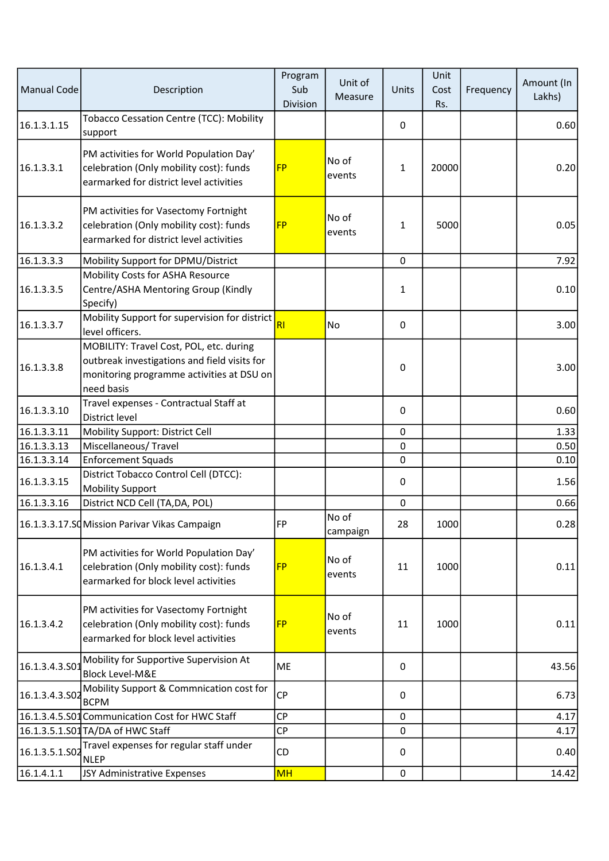| <b>Manual Code</b> | Description                                                                                                                                        | Program<br>Sub<br>Division | Unit of<br>Measure | Units        | Unit<br>Cost<br>Rs. | Frequency | Amount (In<br>Lakhs) |
|--------------------|----------------------------------------------------------------------------------------------------------------------------------------------------|----------------------------|--------------------|--------------|---------------------|-----------|----------------------|
| 16.1.3.1.15        | Tobacco Cessation Centre (TCC): Mobility<br>support                                                                                                |                            |                    | 0            |                     |           | 0.60                 |
| 16.1.3.3.1         | PM activities for World Population Day'<br>celebration (Only mobility cost): funds<br>earmarked for district level activities                      | <b>FP</b>                  | No of<br>events    | $\mathbf{1}$ | 20000               |           | 0.20                 |
| 16.1.3.3.2         | PM activities for Vasectomy Fortnight<br>celebration (Only mobility cost): funds<br>earmarked for district level activities                        | <b>FP</b>                  | No of<br>events    | $\mathbf{1}$ | 5000                |           | 0.05                 |
| 16.1.3.3.3         | Mobility Support for DPMU/District                                                                                                                 |                            |                    | $\mathbf 0$  |                     |           | 7.92                 |
| 16.1.3.3.5         | Mobility Costs for ASHA Resource<br>Centre/ASHA Mentoring Group (Kindly<br>Specify)                                                                |                            |                    | $\mathbf{1}$ |                     |           | 0.10                 |
| 16.1.3.3.7         | Mobility Support for supervision for district<br>level officers.                                                                                   | R <sub>1</sub>             | No                 | 0            |                     |           | 3.00                 |
| 16.1.3.3.8         | MOBILITY: Travel Cost, POL, etc. during<br>outbreak investigations and field visits for<br>monitoring programme activities at DSU on<br>need basis |                            |                    | 0            |                     |           | 3.00                 |
| 16.1.3.3.10        | Travel expenses - Contractual Staff at<br>District level                                                                                           |                            |                    | 0            |                     |           | 0.60                 |
| 16.1.3.3.11        | Mobility Support: District Cell                                                                                                                    |                            |                    | $\mathbf 0$  |                     |           | 1.33                 |
| 16.1.3.3.13        | Miscellaneous/Travel                                                                                                                               |                            |                    | $\mathbf 0$  |                     |           | 0.50                 |
| 16.1.3.3.14        | <b>Enforcement Squads</b>                                                                                                                          |                            |                    | 0            |                     |           | 0.10                 |
| 16.1.3.3.15        | District Tobacco Control Cell (DTCC):<br><b>Mobility Support</b>                                                                                   |                            |                    | 0            |                     |           | 1.56                 |
| 16.1.3.3.16        | District NCD Cell (TA,DA, POL)                                                                                                                     |                            |                    | $\mathbf 0$  |                     |           | 0.66                 |
|                    | 16.1.3.3.17.SQ Mission Parivar Vikas Campaign                                                                                                      | FP                         | No of<br>campaign  | 28           | 1000                |           | 0.28                 |
| 16.1.3.4.1         | PM activities for World Population Day'<br>celebration (Only mobility cost): funds<br>earmarked for block level activities                         | <b>FP</b>                  | No of<br>events    | 11           | 1000                |           | 0.11                 |
| 16.1.3.4.2         | PM activities for Vasectomy Fortnight<br>celebration (Only mobility cost): funds<br>earmarked for block level activities                           | <b>FP</b>                  | No of<br>events    | 11           | 1000                |           | 0.11                 |
| 16.1.3.4.3.S01     | Mobility for Supportive Supervision At<br><b>Block Level-M&amp;E</b>                                                                               | ME                         |                    | 0            |                     |           | 43.56                |
| 16.1.3.4.3.502     | Mobility Support & Commnication cost for<br><b>BCPM</b>                                                                                            | <b>CP</b>                  |                    | 0            |                     |           | 6.73                 |
|                    | 16.1.3.4.5.S01 Communication Cost for HWC Staff                                                                                                    | <b>CP</b>                  |                    | $\mathbf 0$  |                     |           | 4.17                 |
|                    | 16.1.3.5.1.S01 TA/DA of HWC Staff                                                                                                                  | <b>CP</b>                  |                    | 0            |                     |           | 4.17                 |
| 16.1.3.5.1.S02     | Travel expenses for regular staff under<br><b>NLEP</b>                                                                                             | <b>CD</b>                  |                    | 0            |                     |           | 0.40                 |
| 16.1.4.1.1         | JSY Administrative Expenses                                                                                                                        | <b>MH</b>                  |                    | $\pmb{0}$    |                     |           | 14.42                |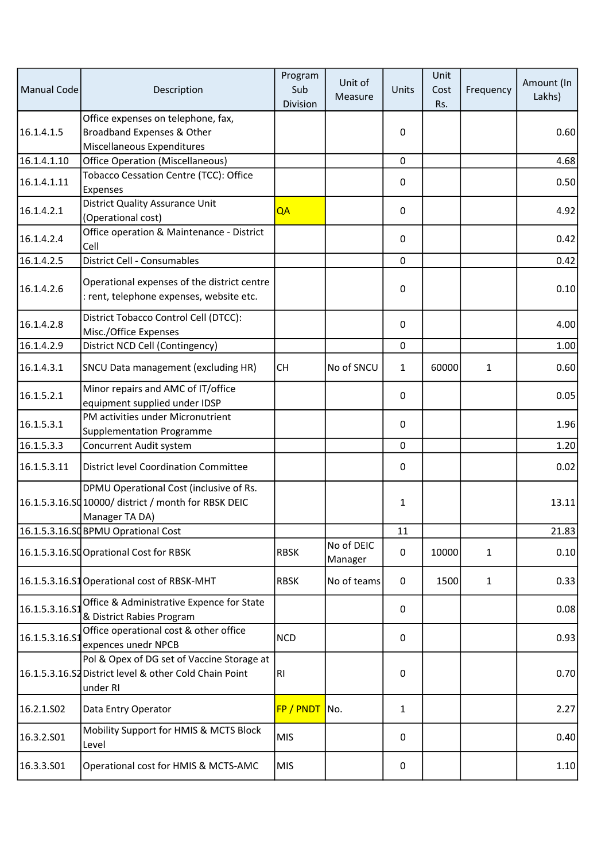| Manual Code    | Description                                                                                                       | Program<br>Sub<br>Division | Unit of<br>Measure    | Units        | Unit<br>Cost<br>Rs. | Frequency    | Amount (In<br>Lakhs) |
|----------------|-------------------------------------------------------------------------------------------------------------------|----------------------------|-----------------------|--------------|---------------------|--------------|----------------------|
| 16.1.4.1.5     | Office expenses on telephone, fax,<br>Broadband Expenses & Other<br>Miscellaneous Expenditures                    |                            |                       | $\pmb{0}$    |                     |              | 0.60                 |
| 16.1.4.1.10    | <b>Office Operation (Miscellaneous)</b>                                                                           |                            |                       | $\mathbf 0$  |                     |              | 4.68                 |
| 16.1.4.1.11    | Tobacco Cessation Centre (TCC): Office<br>Expenses                                                                |                            |                       | 0            |                     |              | 0.50                 |
| 16.1.4.2.1     | District Quality Assurance Unit<br>(Operational cost)                                                             | QA                         |                       | 0            |                     |              | 4.92                 |
| 16.1.4.2.4     | Office operation & Maintenance - District<br>Cell                                                                 |                            |                       | 0            |                     |              | 0.42                 |
| 16.1.4.2.5     | District Cell - Consumables                                                                                       |                            |                       | $\mathbf 0$  |                     |              | 0.42                 |
| 16.1.4.2.6     | Operational expenses of the district centre<br>: rent, telephone expenses, website etc.                           |                            |                       | $\pmb{0}$    |                     |              | 0.10                 |
| 16.1.4.2.8     | District Tobacco Control Cell (DTCC):<br>Misc./Office Expenses                                                    |                            |                       | 0            |                     |              | 4.00                 |
| 16.1.4.2.9     | District NCD Cell (Contingency)                                                                                   |                            |                       | $\mathbf 0$  |                     |              | 1.00                 |
| 16.1.4.3.1     | SNCU Data management (excluding HR)                                                                               | <b>CH</b>                  | No of SNCU            | $\mathbf{1}$ | 60000               | 1            | 0.60                 |
| 16.1.5.2.1     | Minor repairs and AMC of IT/office<br>equipment supplied under IDSP                                               |                            |                       | 0            |                     |              | 0.05                 |
| 16.1.5.3.1     | PM activities under Micronutrient<br><b>Supplementation Programme</b>                                             |                            |                       | $\pmb{0}$    |                     |              | 1.96                 |
| 16.1.5.3.3     | Concurrent Audit system                                                                                           |                            |                       | $\mathbf 0$  |                     |              | 1.20                 |
| 16.1.5.3.11    | <b>District level Coordination Committee</b>                                                                      |                            |                       | 0            |                     |              | 0.02                 |
|                | DPMU Operational Cost (inclusive of Rs.<br>16.1.5.3.16.SQ 10000/ district / month for RBSK DEIC<br>Manager TA DA) |                            |                       | $\mathbf{1}$ |                     |              | 13.11                |
|                | 16.1.5.3.16.SQBPMU Oprational Cost                                                                                |                            |                       | 11           |                     |              | 21.83                |
|                | 16.1.5.3.16.SCOprational Cost for RBSK                                                                            | <b>RBSK</b>                | No of DEIC<br>Manager | 0            | 10000               | 1            | 0.10                 |
|                | 16.1.5.3.16.S1 Operational cost of RBSK-MHT                                                                       | <b>RBSK</b>                | No of teams           | 0            | 1500                | $\mathbf{1}$ | 0.33                 |
| 16.1.5.3.16.51 | Office & Administrative Expence for State<br>& District Rabies Program                                            |                            |                       | 0            |                     |              | 0.08                 |
| 16.1.5.3.16.51 | Office operational cost & other office<br>expences unedr NPCB                                                     | <b>NCD</b>                 |                       | 0            |                     |              | 0.93                 |
|                | Pol & Opex of DG set of Vaccine Storage at<br>16.1.5.3.16.S2 District level & other Cold Chain Point<br>under RI  | RI.                        |                       | $\pmb{0}$    |                     |              | 0.70                 |
| 16.2.1.S02     | Data Entry Operator                                                                                               | FP / PNDT                  | No.                   | $\mathbf{1}$ |                     |              | 2.27                 |
| 16.3.2.S01     | Mobility Support for HMIS & MCTS Block<br>Level                                                                   | <b>MIS</b>                 |                       | 0            |                     |              | 0.40                 |
| 16.3.3.S01     | Operational cost for HMIS & MCTS-AMC                                                                              | <b>MIS</b>                 |                       | 0            |                     |              | 1.10                 |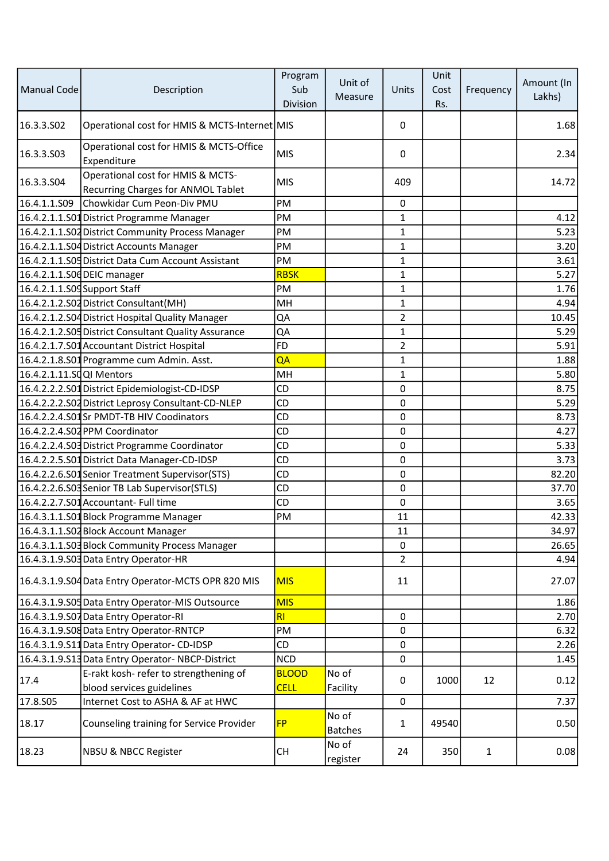| <b>Manual Code</b>           | Description                                                             | Program<br>Sub<br>Division | Unit of<br>Measure      | Units          | Unit<br>Cost<br>Rs. | Frequency    | Amount (In<br>Lakhs) |
|------------------------------|-------------------------------------------------------------------------|----------------------------|-------------------------|----------------|---------------------|--------------|----------------------|
| 16.3.3.S02                   | Operational cost for HMIS & MCTS-Internet MIS                           |                            |                         | 0              |                     |              | 1.68                 |
| 16.3.3.503                   | Operational cost for HMIS & MCTS-Office<br>Expenditure                  | <b>MIS</b>                 |                         | 0              |                     |              | 2.34                 |
| 16.3.3.S04                   | Operational cost for HMIS & MCTS-<br>Recurring Charges for ANMOL Tablet | <b>MIS</b>                 |                         | 409            |                     |              | 14.72                |
| 16.4.1.1.S09                 | Chowkidar Cum Peon-Div PMU                                              | PM                         |                         | 0              |                     |              |                      |
|                              | 16.4.2.1.1.S01 District Programme Manager                               | PM                         |                         | $\mathbf{1}$   |                     |              | 4.12                 |
|                              | 16.4.2.1.1.S02 District Community Process Manager                       | PM                         |                         | $\mathbf{1}$   |                     |              | 5.23                 |
|                              | 16.4.2.1.1.S04 District Accounts Manager                                | PM                         |                         | $\mathbf{1}$   |                     |              | 3.20                 |
|                              | 16.4.2.1.1.S05 District Data Cum Account Assistant                      | PM                         |                         | $\mathbf{1}$   |                     |              | 3.61                 |
|                              | 16.4.2.1.1.S06 DEIC manager                                             | <b>RBSK</b>                |                         | $\mathbf{1}$   |                     |              | 5.27                 |
| 16.4.2.1.1.S09 Support Staff |                                                                         | PM                         |                         | $\mathbf{1}$   |                     |              | 1.76                 |
|                              | 16.4.2.1.2.S02 District Consultant (MH)                                 | MH                         |                         | $\mathbf{1}$   |                     |              | 4.94                 |
|                              | 16.4.2.1.2.S04 District Hospital Quality Manager                        | QA                         |                         | $\overline{2}$ |                     |              | 10.45                |
|                              | 16.4.2.1.2.S05 District Consultant Quality Assurance                    | QA                         |                         | $\mathbf{1}$   |                     |              | 5.29                 |
|                              | 16.4.2.1.7.S01 Accountant District Hospital                             | <b>FD</b>                  |                         | $\overline{2}$ |                     |              | 5.91                 |
|                              | 16.4.2.1.8.S01 Programme cum Admin. Asst.                               | QA                         |                         | $\mathbf{1}$   |                     |              | 1.88                 |
| 16.4.2.1.11.SQQI Mentors     |                                                                         | MH                         |                         | $\mathbf{1}$   |                     |              | 5.80                 |
|                              | 16.4.2.2.2.S01 District Epidemiologist-CD-IDSP                          | CD                         |                         | $\pmb{0}$      |                     |              | 8.75                 |
|                              | 16.4.2.2.2.S02 District Leprosy Consultant-CD-NLEP                      | CD                         |                         | 0              |                     |              | 5.29                 |
|                              | 16.4.2.2.4.S01Sr PMDT-TB HIV Coodinators                                | CD                         |                         | 0              |                     |              | 8.73                 |
|                              | 16.4.2.2.4.S02 PPM Coordinator                                          | CD                         |                         | $\mathbf 0$    |                     |              | 4.27                 |
|                              | 16.4.2.2.4.S03 District Programme Coordinator                           | CD                         |                         | $\mathbf 0$    |                     |              | 5.33                 |
|                              | 16.4.2.2.5.S01 District Data Manager-CD-IDSP                            | CD                         |                         | 0              |                     |              | 3.73                 |
|                              | 16.4.2.2.6.S01 Senior Treatment Supervisor(STS)                         | CD                         |                         | $\pmb{0}$      |                     |              | 82.20                |
|                              | 16.4.2.2.6.S03 Senior TB Lab Supervisor (STLS)                          | CD                         |                         | 0              |                     |              | 37.70                |
|                              | 16.4.2.2.7.S01 Accountant- Full time                                    | CD                         |                         | $\mathbf 0$    |                     |              | 3.65                 |
|                              | 16.4.3.1.1.S01 Block Programme Manager                                  | PM                         |                         | 11             |                     |              | 42.33                |
|                              | 16.4.3.1.1.S02 Block Account Manager                                    |                            |                         | 11             |                     |              | 34.97                |
|                              | 16.4.3.1.1.S03 Block Community Process Manager                          |                            |                         | $\mathbf 0$    |                     |              | 26.65                |
|                              | 16.4.3.1.9.S03 Data Entry Operator-HR                                   |                            |                         | $\overline{2}$ |                     |              | 4.94                 |
|                              | 16.4.3.1.9.S04 Data Entry Operator-MCTS OPR 820 MIS                     | <b>MIS</b>                 |                         | 11             |                     |              | 27.07                |
|                              | 16.4.3.1.9.S05 Data Entry Operator-MIS Outsource                        | <b>MIS</b>                 |                         |                |                     |              | 1.86                 |
|                              | 16.4.3.1.9.S07 Data Entry Operator-RI                                   | R <sub>l</sub>             |                         | $\mathbf 0$    |                     |              | 2.70                 |
|                              | 16.4.3.1.9.S08 Data Entry Operator-RNTCP                                | PM                         |                         | $\mathbf 0$    |                     |              | 6.32                 |
|                              | 16.4.3.1.9.S11 Data Entry Operator-CD-IDSP                              | CD                         |                         | 0              |                     |              | 2.26                 |
|                              | 16.4.3.1.9.S13 Data Entry Operator-NBCP-District                        | <b>NCD</b>                 |                         | $\mathbf 0$    |                     |              | 1.45                 |
|                              | E-rakt kosh- refer to strengthening of                                  | <b>BLOOD</b>               | No of                   |                |                     |              |                      |
| 17.4                         | blood services guidelines                                               | <b>CELL</b>                | Facility                | 0              | 1000                | 12           | 0.12                 |
| 17.8.S05                     | Internet Cost to ASHA & AF at HWC                                       |                            |                         | 0              |                     |              | 7.37                 |
| 18.17                        | Counseling training for Service Provider                                | <b>FP</b>                  | No of<br><b>Batches</b> | $\mathbf{1}$   | 49540               |              | 0.50                 |
| 18.23                        | <b>NBSU &amp; NBCC Register</b>                                         | <b>CH</b>                  | No of<br>register       | 24             | 350                 | $\mathbf{1}$ | 0.08                 |